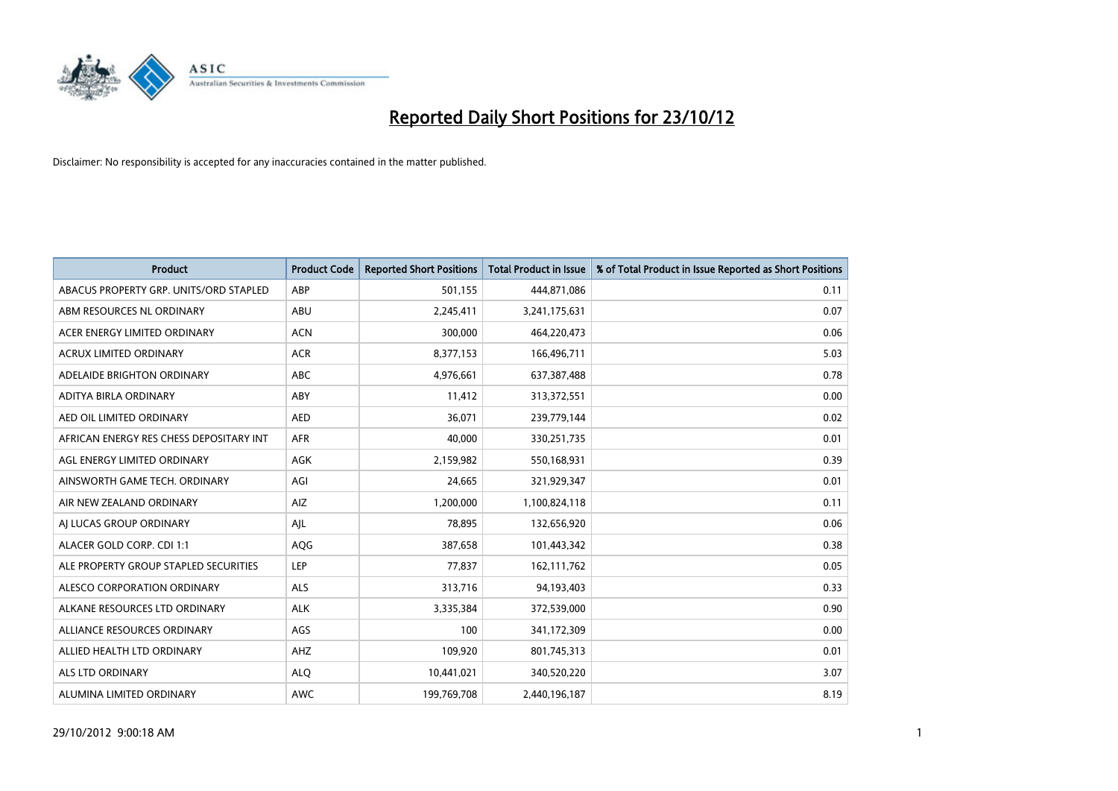

| <b>Product</b>                          | <b>Product Code</b> | <b>Reported Short Positions</b> | Total Product in Issue | % of Total Product in Issue Reported as Short Positions |
|-----------------------------------------|---------------------|---------------------------------|------------------------|---------------------------------------------------------|
| ABACUS PROPERTY GRP. UNITS/ORD STAPLED  | ABP                 | 501,155                         | 444,871,086            | 0.11                                                    |
| ABM RESOURCES NL ORDINARY               | ABU                 | 2,245,411                       | 3,241,175,631          | 0.07                                                    |
| ACER ENERGY LIMITED ORDINARY            | <b>ACN</b>          | 300,000                         | 464,220,473            | 0.06                                                    |
| ACRUX LIMITED ORDINARY                  | <b>ACR</b>          | 8,377,153                       | 166,496,711            | 5.03                                                    |
| ADELAIDE BRIGHTON ORDINARY              | <b>ABC</b>          | 4,976,661                       | 637, 387, 488          | 0.78                                                    |
| ADITYA BIRLA ORDINARY                   | ABY                 | 11,412                          | 313,372,551            | 0.00                                                    |
| AED OIL LIMITED ORDINARY                | <b>AED</b>          | 36.071                          | 239,779,144            | 0.02                                                    |
| AFRICAN ENERGY RES CHESS DEPOSITARY INT | <b>AFR</b>          | 40.000                          | 330,251,735            | 0.01                                                    |
| AGL ENERGY LIMITED ORDINARY             | <b>AGK</b>          | 2,159,982                       | 550,168,931            | 0.39                                                    |
| AINSWORTH GAME TECH. ORDINARY           | AGI                 | 24.665                          | 321,929,347            | 0.01                                                    |
| AIR NEW ZEALAND ORDINARY                | AIZ                 | 1,200,000                       | 1,100,824,118          | 0.11                                                    |
| AI LUCAS GROUP ORDINARY                 | AJL                 | 78,895                          | 132,656,920            | 0.06                                                    |
| ALACER GOLD CORP. CDI 1:1               | <b>AQG</b>          | 387,658                         | 101,443,342            | 0.38                                                    |
| ALE PROPERTY GROUP STAPLED SECURITIES   | LEP                 | 77.837                          | 162,111,762            | 0.05                                                    |
| ALESCO CORPORATION ORDINARY             | <b>ALS</b>          | 313,716                         | 94,193,403             | 0.33                                                    |
| ALKANE RESOURCES LTD ORDINARY           | <b>ALK</b>          | 3,335,384                       | 372,539,000            | 0.90                                                    |
| ALLIANCE RESOURCES ORDINARY             | AGS                 | 100                             | 341,172,309            | 0.00                                                    |
| ALLIED HEALTH LTD ORDINARY              | AHZ                 | 109,920                         | 801,745,313            | 0.01                                                    |
| <b>ALS LTD ORDINARY</b>                 | <b>ALO</b>          | 10,441,021                      | 340,520,220            | 3.07                                                    |
| ALUMINA LIMITED ORDINARY                | <b>AWC</b>          | 199,769,708                     | 2,440,196,187          | 8.19                                                    |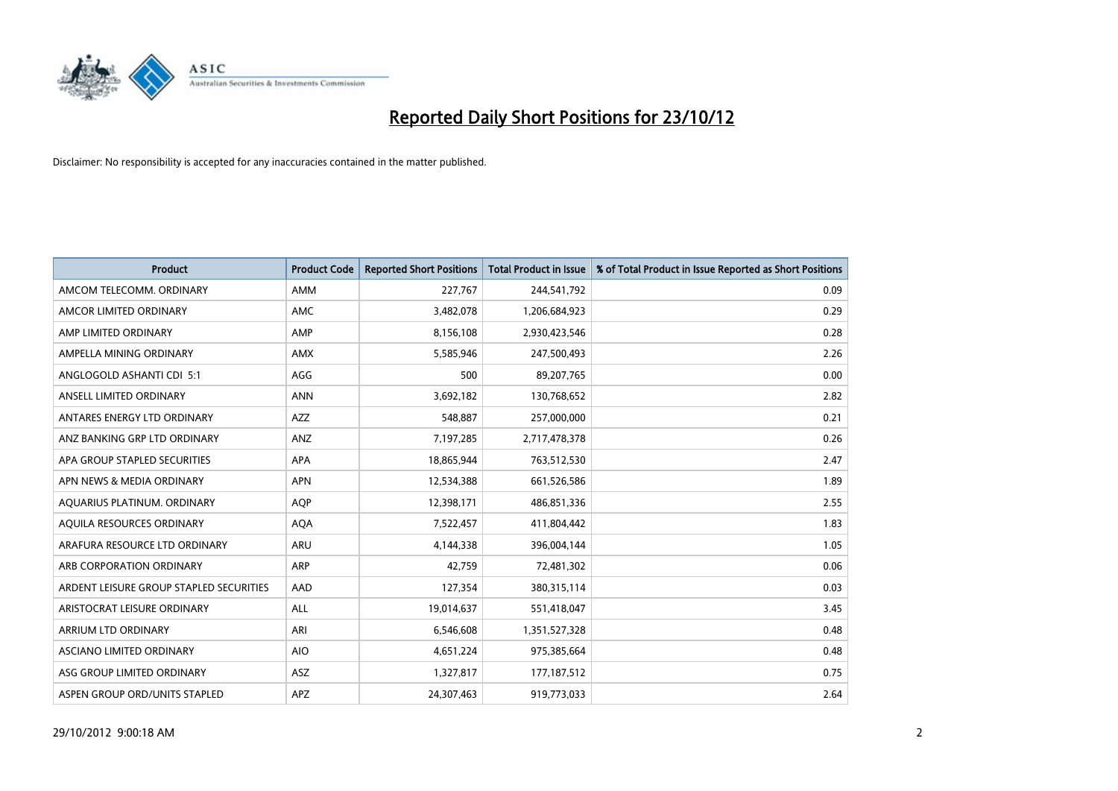

| <b>Product</b>                          | <b>Product Code</b> | <b>Reported Short Positions</b> | <b>Total Product in Issue</b> | % of Total Product in Issue Reported as Short Positions |
|-----------------------------------------|---------------------|---------------------------------|-------------------------------|---------------------------------------------------------|
| AMCOM TELECOMM, ORDINARY                | <b>AMM</b>          | 227,767                         | 244,541,792                   | 0.09                                                    |
| AMCOR LIMITED ORDINARY                  | <b>AMC</b>          | 3,482,078                       | 1,206,684,923                 | 0.29                                                    |
| AMP LIMITED ORDINARY                    | AMP                 | 8,156,108                       | 2,930,423,546                 | 0.28                                                    |
| AMPELLA MINING ORDINARY                 | <b>AMX</b>          | 5,585,946                       | 247,500,493                   | 2.26                                                    |
| ANGLOGOLD ASHANTI CDI 5:1               | AGG                 | 500                             | 89,207,765                    | 0.00                                                    |
| ANSELL LIMITED ORDINARY                 | <b>ANN</b>          | 3,692,182                       | 130,768,652                   | 2.82                                                    |
| ANTARES ENERGY LTD ORDINARY             | <b>AZZ</b>          | 548,887                         | 257,000,000                   | 0.21                                                    |
| ANZ BANKING GRP LTD ORDINARY            | ANZ                 | 7,197,285                       | 2,717,478,378                 | 0.26                                                    |
| APA GROUP STAPLED SECURITIES            | <b>APA</b>          | 18,865,944                      | 763,512,530                   | 2.47                                                    |
| APN NEWS & MEDIA ORDINARY               | <b>APN</b>          | 12,534,388                      | 661,526,586                   | 1.89                                                    |
| AQUARIUS PLATINUM. ORDINARY             | AQP                 | 12,398,171                      | 486,851,336                   | 2.55                                                    |
| AQUILA RESOURCES ORDINARY               | <b>AQA</b>          | 7,522,457                       | 411,804,442                   | 1.83                                                    |
| ARAFURA RESOURCE LTD ORDINARY           | <b>ARU</b>          | 4,144,338                       | 396,004,144                   | 1.05                                                    |
| ARB CORPORATION ORDINARY                | <b>ARP</b>          | 42,759                          | 72,481,302                    | 0.06                                                    |
| ARDENT LEISURE GROUP STAPLED SECURITIES | AAD                 | 127,354                         | 380,315,114                   | 0.03                                                    |
| ARISTOCRAT LEISURE ORDINARY             | ALL                 | 19,014,637                      | 551,418,047                   | 3.45                                                    |
| ARRIUM LTD ORDINARY                     | ARI                 | 6,546,608                       | 1,351,527,328                 | 0.48                                                    |
| ASCIANO LIMITED ORDINARY                | <b>AIO</b>          | 4,651,224                       | 975,385,664                   | 0.48                                                    |
| ASG GROUP LIMITED ORDINARY              | <b>ASZ</b>          | 1,327,817                       | 177, 187, 512                 | 0.75                                                    |
| ASPEN GROUP ORD/UNITS STAPLED           | APZ                 | 24,307,463                      | 919,773,033                   | 2.64                                                    |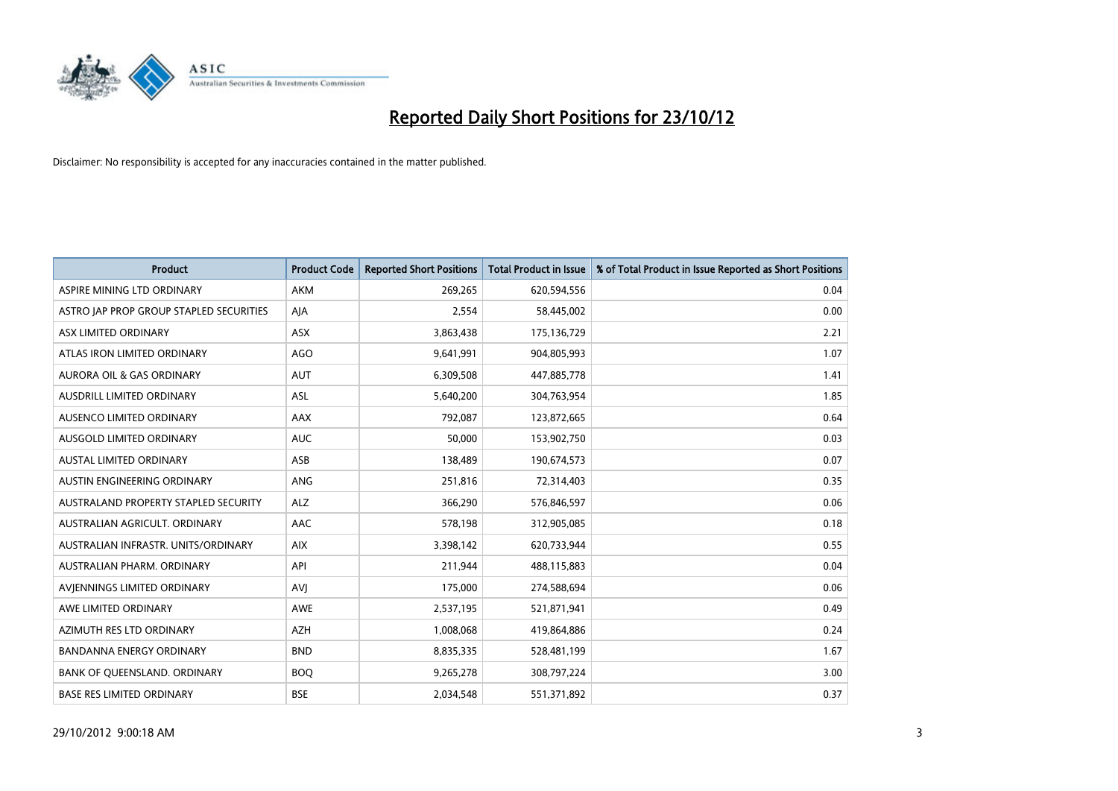

| <b>Product</b>                          | <b>Product Code</b> | <b>Reported Short Positions</b> | <b>Total Product in Issue</b> | % of Total Product in Issue Reported as Short Positions |
|-----------------------------------------|---------------------|---------------------------------|-------------------------------|---------------------------------------------------------|
| ASPIRE MINING LTD ORDINARY              | <b>AKM</b>          | 269,265                         | 620,594,556                   | 0.04                                                    |
| ASTRO JAP PROP GROUP STAPLED SECURITIES | AJA                 | 2,554                           | 58,445,002                    | 0.00                                                    |
| ASX LIMITED ORDINARY                    | <b>ASX</b>          | 3,863,438                       | 175,136,729                   | 2.21                                                    |
| ATLAS IRON LIMITED ORDINARY             | AGO                 | 9,641,991                       | 904,805,993                   | 1.07                                                    |
| <b>AURORA OIL &amp; GAS ORDINARY</b>    | <b>AUT</b>          | 6,309,508                       | 447,885,778                   | 1.41                                                    |
| AUSDRILL LIMITED ORDINARY               | <b>ASL</b>          | 5,640,200                       | 304,763,954                   | 1.85                                                    |
| AUSENCO LIMITED ORDINARY                | <b>AAX</b>          | 792.087                         | 123,872,665                   | 0.64                                                    |
| AUSGOLD LIMITED ORDINARY                | <b>AUC</b>          | 50,000                          | 153,902,750                   | 0.03                                                    |
| <b>AUSTAL LIMITED ORDINARY</b>          | ASB                 | 138,489                         | 190,674,573                   | 0.07                                                    |
| AUSTIN ENGINEERING ORDINARY             | ANG                 | 251,816                         | 72,314,403                    | 0.35                                                    |
| AUSTRALAND PROPERTY STAPLED SECURITY    | <b>ALZ</b>          | 366,290                         | 576,846,597                   | 0.06                                                    |
| AUSTRALIAN AGRICULT, ORDINARY           | AAC                 | 578,198                         | 312,905,085                   | 0.18                                                    |
| AUSTRALIAN INFRASTR. UNITS/ORDINARY     | <b>AIX</b>          | 3,398,142                       | 620,733,944                   | 0.55                                                    |
| AUSTRALIAN PHARM. ORDINARY              | API                 | 211,944                         | 488,115,883                   | 0.04                                                    |
| AVIENNINGS LIMITED ORDINARY             | AVI                 | 175,000                         | 274,588,694                   | 0.06                                                    |
| AWE LIMITED ORDINARY                    | <b>AWE</b>          | 2,537,195                       | 521,871,941                   | 0.49                                                    |
| AZIMUTH RES LTD ORDINARY                | <b>AZH</b>          | 1,008,068                       | 419,864,886                   | 0.24                                                    |
| BANDANNA ENERGY ORDINARY                | <b>BND</b>          | 8,835,335                       | 528,481,199                   | 1.67                                                    |
| BANK OF QUEENSLAND. ORDINARY            | <b>BOQ</b>          | 9,265,278                       | 308,797,224                   | 3.00                                                    |
| <b>BASE RES LIMITED ORDINARY</b>        | <b>BSE</b>          | 2,034,548                       | 551,371,892                   | 0.37                                                    |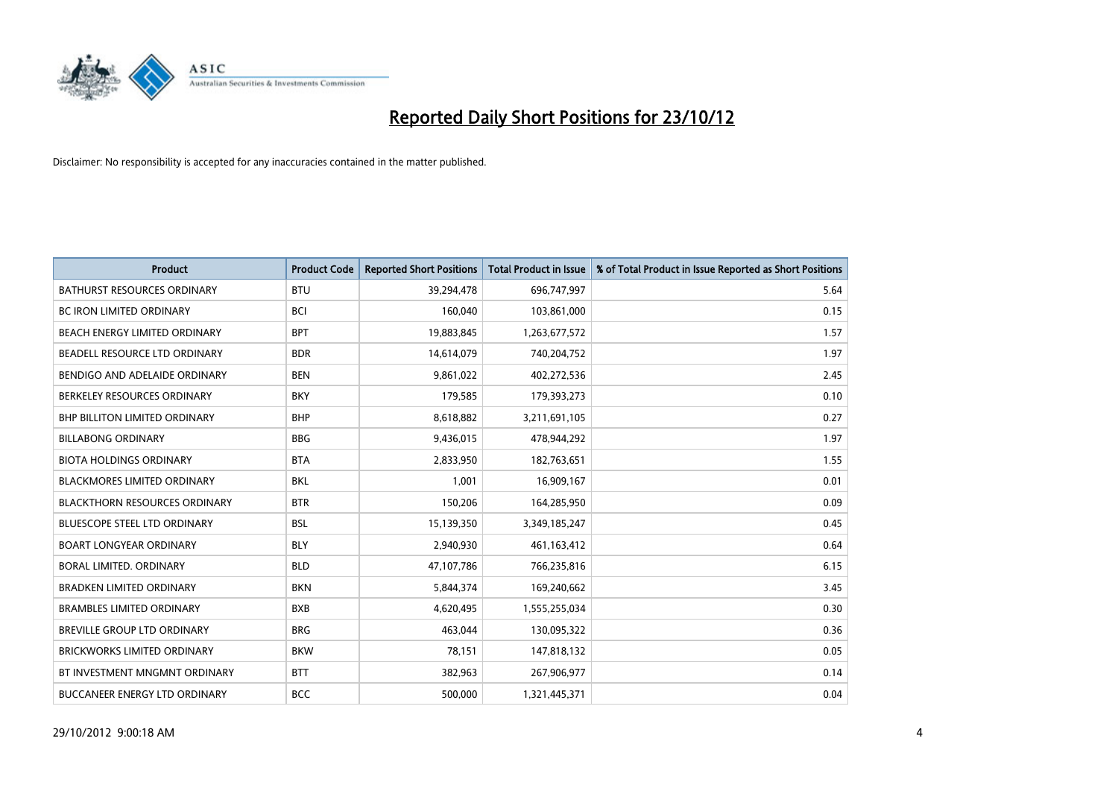

| <b>Product</b>                       | <b>Product Code</b> | <b>Reported Short Positions</b> | <b>Total Product in Issue</b> | % of Total Product in Issue Reported as Short Positions |
|--------------------------------------|---------------------|---------------------------------|-------------------------------|---------------------------------------------------------|
| <b>BATHURST RESOURCES ORDINARY</b>   | <b>BTU</b>          | 39,294,478                      | 696,747,997                   | 5.64                                                    |
| BC IRON LIMITED ORDINARY             | <b>BCI</b>          | 160,040                         | 103,861,000                   | 0.15                                                    |
| <b>BEACH ENERGY LIMITED ORDINARY</b> | <b>BPT</b>          | 19,883,845                      | 1,263,677,572                 | 1.57                                                    |
| BEADELL RESOURCE LTD ORDINARY        | <b>BDR</b>          | 14,614,079                      | 740,204,752                   | 1.97                                                    |
| BENDIGO AND ADELAIDE ORDINARY        | <b>BEN</b>          | 9,861,022                       | 402,272,536                   | 2.45                                                    |
| BERKELEY RESOURCES ORDINARY          | <b>BKY</b>          | 179,585                         | 179,393,273                   | 0.10                                                    |
| <b>BHP BILLITON LIMITED ORDINARY</b> | <b>BHP</b>          | 8,618,882                       | 3,211,691,105                 | 0.27                                                    |
| <b>BILLABONG ORDINARY</b>            | <b>BBG</b>          | 9,436,015                       | 478,944,292                   | 1.97                                                    |
| <b>BIOTA HOLDINGS ORDINARY</b>       | <b>BTA</b>          | 2,833,950                       | 182,763,651                   | 1.55                                                    |
| <b>BLACKMORES LIMITED ORDINARY</b>   | <b>BKL</b>          | 1,001                           | 16,909,167                    | 0.01                                                    |
| <b>BLACKTHORN RESOURCES ORDINARY</b> | <b>BTR</b>          | 150,206                         | 164,285,950                   | 0.09                                                    |
| <b>BLUESCOPE STEEL LTD ORDINARY</b>  | <b>BSL</b>          | 15,139,350                      | 3,349,185,247                 | 0.45                                                    |
| <b>BOART LONGYEAR ORDINARY</b>       | <b>BLY</b>          | 2,940,930                       | 461,163,412                   | 0.64                                                    |
| <b>BORAL LIMITED, ORDINARY</b>       | <b>BLD</b>          | 47,107,786                      | 766,235,816                   | 6.15                                                    |
| <b>BRADKEN LIMITED ORDINARY</b>      | <b>BKN</b>          | 5,844,374                       | 169,240,662                   | 3.45                                                    |
| <b>BRAMBLES LIMITED ORDINARY</b>     | <b>BXB</b>          | 4,620,495                       | 1,555,255,034                 | 0.30                                                    |
| BREVILLE GROUP LTD ORDINARY          | <b>BRG</b>          | 463,044                         | 130,095,322                   | 0.36                                                    |
| <b>BRICKWORKS LIMITED ORDINARY</b>   | <b>BKW</b>          | 78,151                          | 147,818,132                   | 0.05                                                    |
| BT INVESTMENT MNGMNT ORDINARY        | <b>BTT</b>          | 382,963                         | 267,906,977                   | 0.14                                                    |
| BUCCANEER ENERGY LTD ORDINARY        | <b>BCC</b>          | 500,000                         | 1,321,445,371                 | 0.04                                                    |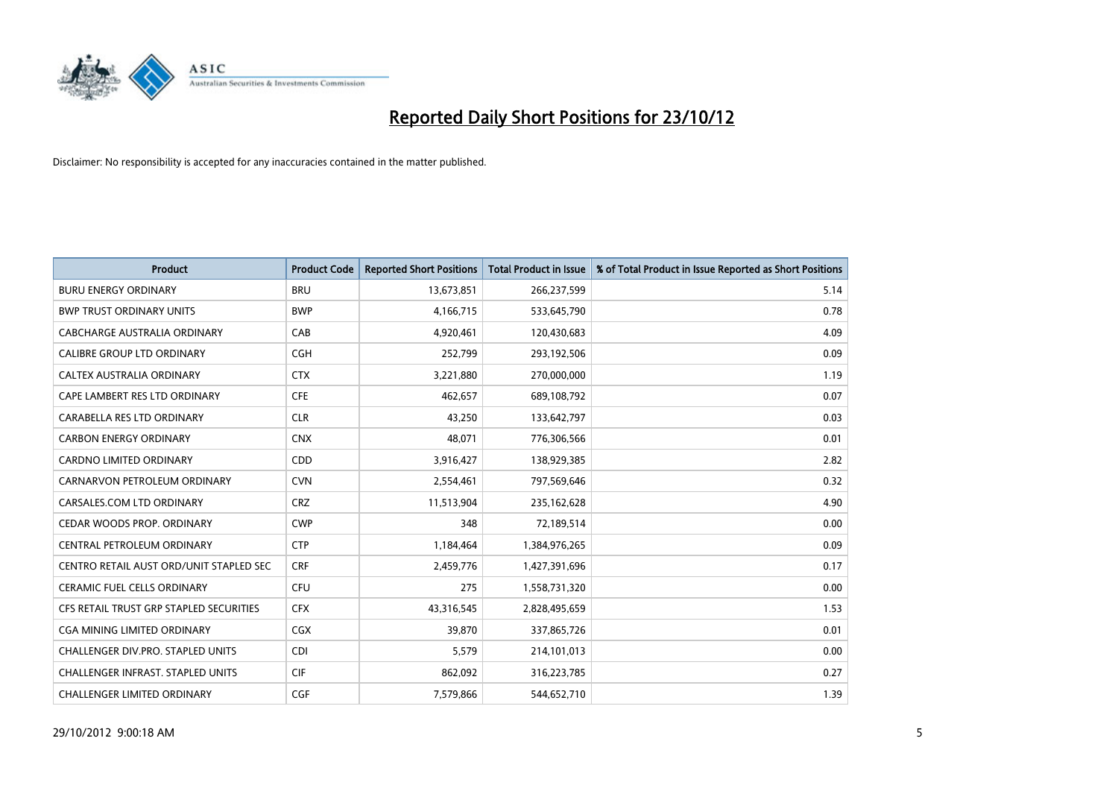

| <b>Product</b>                           | <b>Product Code</b> | <b>Reported Short Positions</b> | <b>Total Product in Issue</b> | % of Total Product in Issue Reported as Short Positions |
|------------------------------------------|---------------------|---------------------------------|-------------------------------|---------------------------------------------------------|
| <b>BURU ENERGY ORDINARY</b>              | <b>BRU</b>          | 13,673,851                      | 266,237,599                   | 5.14                                                    |
| <b>BWP TRUST ORDINARY UNITS</b>          | <b>BWP</b>          | 4,166,715                       | 533,645,790                   | 0.78                                                    |
| CABCHARGE AUSTRALIA ORDINARY             | CAB                 | 4,920,461                       | 120,430,683                   | 4.09                                                    |
| CALIBRE GROUP LTD ORDINARY               | <b>CGH</b>          | 252,799                         | 293,192,506                   | 0.09                                                    |
| CALTEX AUSTRALIA ORDINARY                | <b>CTX</b>          | 3,221,880                       | 270,000,000                   | 1.19                                                    |
| CAPE LAMBERT RES LTD ORDINARY            | <b>CFE</b>          | 462,657                         | 689,108,792                   | 0.07                                                    |
| CARABELLA RES LTD ORDINARY               | <b>CLR</b>          | 43.250                          | 133,642,797                   | 0.03                                                    |
| <b>CARBON ENERGY ORDINARY</b>            | <b>CNX</b>          | 48,071                          | 776,306,566                   | 0.01                                                    |
| CARDNO LIMITED ORDINARY                  | CDD                 | 3,916,427                       | 138,929,385                   | 2.82                                                    |
| CARNARVON PETROLEUM ORDINARY             | <b>CVN</b>          | 2,554,461                       | 797,569,646                   | 0.32                                                    |
| CARSALES.COM LTD ORDINARY                | <b>CRZ</b>          | 11,513,904                      | 235,162,628                   | 4.90                                                    |
| CEDAR WOODS PROP. ORDINARY               | <b>CWP</b>          | 348                             | 72,189,514                    | 0.00                                                    |
| CENTRAL PETROLEUM ORDINARY               | <b>CTP</b>          | 1,184,464                       | 1,384,976,265                 | 0.09                                                    |
| CENTRO RETAIL AUST ORD/UNIT STAPLED SEC  | <b>CRF</b>          | 2,459,776                       | 1,427,391,696                 | 0.17                                                    |
| <b>CERAMIC FUEL CELLS ORDINARY</b>       | <b>CFU</b>          | 275                             | 1,558,731,320                 | 0.00                                                    |
| CFS RETAIL TRUST GRP STAPLED SECURITIES  | <b>CFX</b>          | 43,316,545                      | 2,828,495,659                 | 1.53                                                    |
| <b>CGA MINING LIMITED ORDINARY</b>       | <b>CGX</b>          | 39,870                          | 337,865,726                   | 0.01                                                    |
| CHALLENGER DIV.PRO. STAPLED UNITS        | <b>CDI</b>          | 5,579                           | 214,101,013                   | 0.00                                                    |
| <b>CHALLENGER INFRAST, STAPLED UNITS</b> | <b>CIF</b>          | 862,092                         | 316,223,785                   | 0.27                                                    |
| <b>CHALLENGER LIMITED ORDINARY</b>       | <b>CGF</b>          | 7,579,866                       | 544,652,710                   | 1.39                                                    |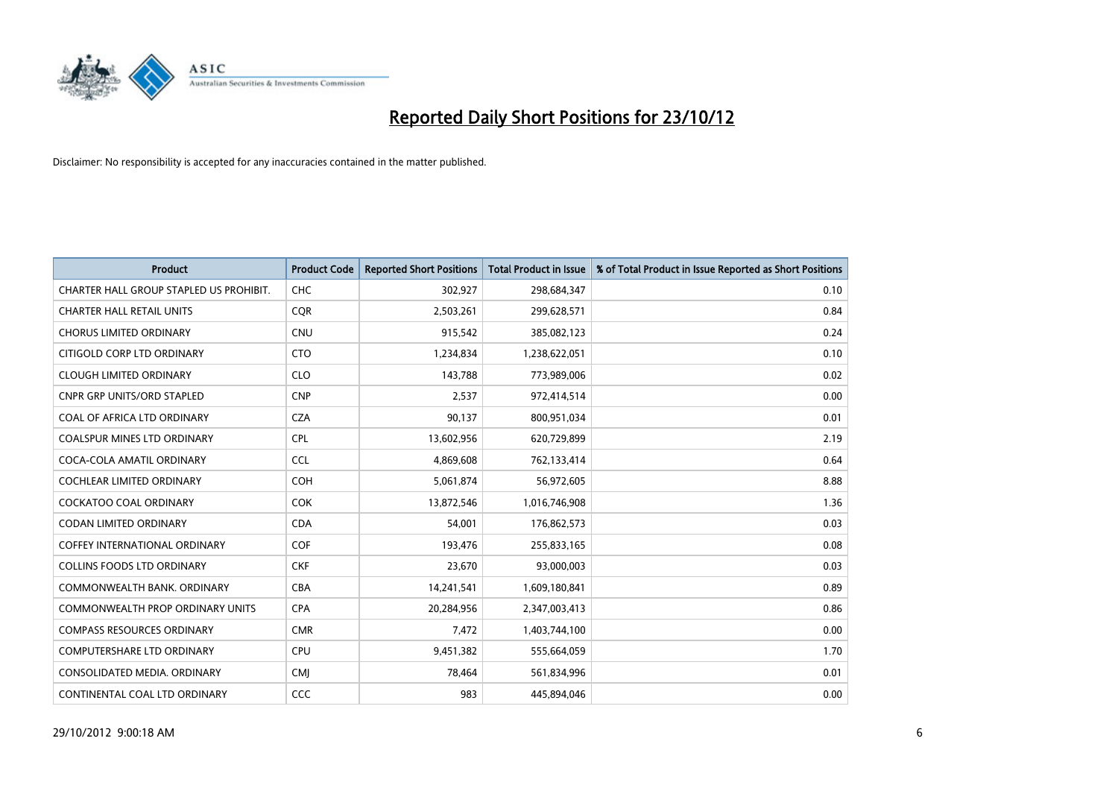

| <b>Product</b>                          | <b>Product Code</b> | <b>Reported Short Positions</b> | <b>Total Product in Issue</b> | % of Total Product in Issue Reported as Short Positions |
|-----------------------------------------|---------------------|---------------------------------|-------------------------------|---------------------------------------------------------|
| CHARTER HALL GROUP STAPLED US PROHIBIT. | <b>CHC</b>          | 302,927                         | 298,684,347                   | 0.10                                                    |
| <b>CHARTER HALL RETAIL UNITS</b>        | <b>COR</b>          | 2,503,261                       | 299,628,571                   | 0.84                                                    |
| <b>CHORUS LIMITED ORDINARY</b>          | <b>CNU</b>          | 915,542                         | 385,082,123                   | 0.24                                                    |
| CITIGOLD CORP LTD ORDINARY              | <b>CTO</b>          | 1,234,834                       | 1,238,622,051                 | 0.10                                                    |
| <b>CLOUGH LIMITED ORDINARY</b>          | <b>CLO</b>          | 143,788                         | 773,989,006                   | 0.02                                                    |
| <b>CNPR GRP UNITS/ORD STAPLED</b>       | <b>CNP</b>          | 2,537                           | 972,414,514                   | 0.00                                                    |
| COAL OF AFRICA LTD ORDINARY             | <b>CZA</b>          | 90,137                          | 800,951,034                   | 0.01                                                    |
| COALSPUR MINES LTD ORDINARY             | <b>CPL</b>          | 13,602,956                      | 620,729,899                   | 2.19                                                    |
| COCA-COLA AMATIL ORDINARY               | <b>CCL</b>          | 4,869,608                       | 762,133,414                   | 0.64                                                    |
| <b>COCHLEAR LIMITED ORDINARY</b>        | <b>COH</b>          | 5,061,874                       | 56,972,605                    | 8.88                                                    |
| COCKATOO COAL ORDINARY                  | <b>COK</b>          | 13,872,546                      | 1,016,746,908                 | 1.36                                                    |
| <b>CODAN LIMITED ORDINARY</b>           | <b>CDA</b>          | 54,001                          | 176,862,573                   | 0.03                                                    |
| <b>COFFEY INTERNATIONAL ORDINARY</b>    | <b>COF</b>          | 193,476                         | 255,833,165                   | 0.08                                                    |
| <b>COLLINS FOODS LTD ORDINARY</b>       | <b>CKF</b>          | 23,670                          | 93,000,003                    | 0.03                                                    |
| COMMONWEALTH BANK, ORDINARY             | <b>CBA</b>          | 14,241,541                      | 1,609,180,841                 | 0.89                                                    |
| <b>COMMONWEALTH PROP ORDINARY UNITS</b> | <b>CPA</b>          | 20,284,956                      | 2,347,003,413                 | 0.86                                                    |
| <b>COMPASS RESOURCES ORDINARY</b>       | <b>CMR</b>          | 7,472                           | 1,403,744,100                 | 0.00                                                    |
| COMPUTERSHARE LTD ORDINARY              | CPU                 | 9,451,382                       | 555,664,059                   | 1.70                                                    |
| CONSOLIDATED MEDIA, ORDINARY            | <b>CMI</b>          | 78,464                          | 561,834,996                   | 0.01                                                    |
| CONTINENTAL COAL LTD ORDINARY           | CCC                 | 983                             | 445,894,046                   | 0.00                                                    |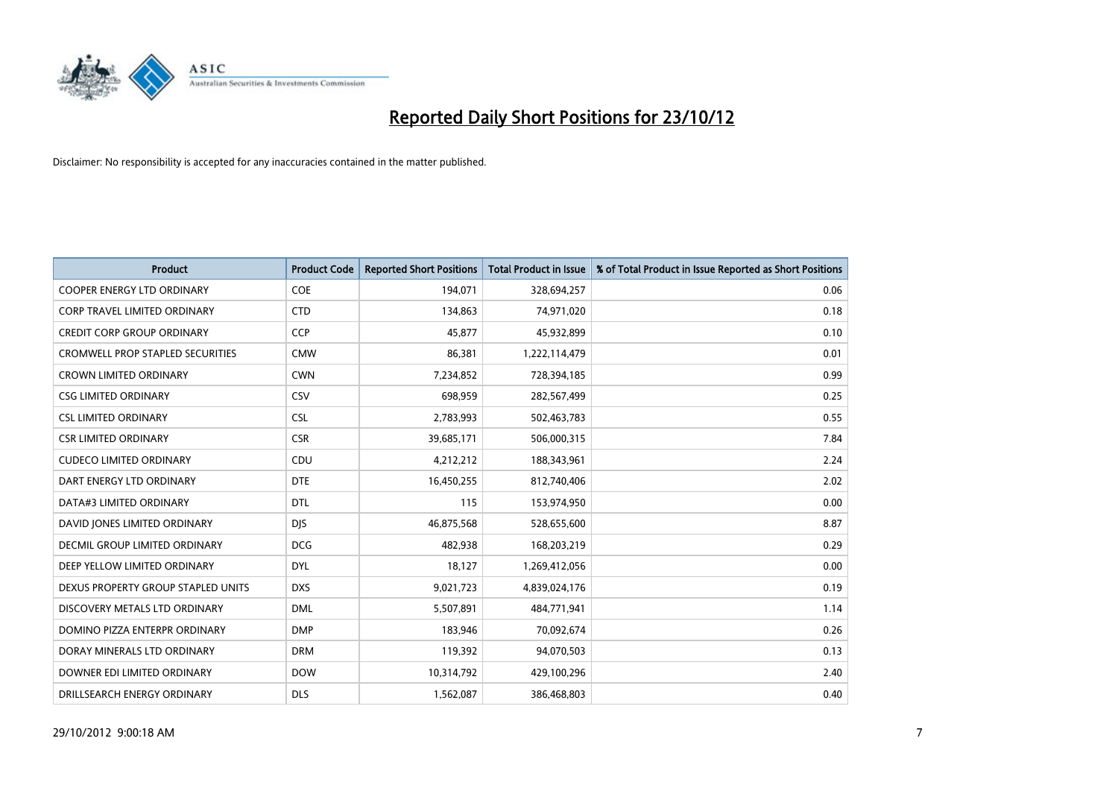

| <b>Product</b>                          | <b>Product Code</b> | <b>Reported Short Positions</b> | <b>Total Product in Issue</b> | % of Total Product in Issue Reported as Short Positions |
|-----------------------------------------|---------------------|---------------------------------|-------------------------------|---------------------------------------------------------|
| <b>COOPER ENERGY LTD ORDINARY</b>       | <b>COE</b>          | 194,071                         | 328,694,257                   | 0.06                                                    |
| CORP TRAVEL LIMITED ORDINARY            | <b>CTD</b>          | 134,863                         | 74,971,020                    | 0.18                                                    |
| <b>CREDIT CORP GROUP ORDINARY</b>       | <b>CCP</b>          | 45,877                          | 45,932,899                    | 0.10                                                    |
| <b>CROMWELL PROP STAPLED SECURITIES</b> | <b>CMW</b>          | 86,381                          | 1,222,114,479                 | 0.01                                                    |
| <b>CROWN LIMITED ORDINARY</b>           | <b>CWN</b>          | 7,234,852                       | 728,394,185                   | 0.99                                                    |
| <b>CSG LIMITED ORDINARY</b>             | CSV                 | 698,959                         | 282,567,499                   | 0.25                                                    |
| <b>CSL LIMITED ORDINARY</b>             | <b>CSL</b>          | 2,783,993                       | 502,463,783                   | 0.55                                                    |
| <b>CSR LIMITED ORDINARY</b>             | <b>CSR</b>          | 39,685,171                      | 506,000,315                   | 7.84                                                    |
| <b>CUDECO LIMITED ORDINARY</b>          | CDU                 | 4,212,212                       | 188,343,961                   | 2.24                                                    |
| DART ENERGY LTD ORDINARY                | <b>DTE</b>          | 16,450,255                      | 812,740,406                   | 2.02                                                    |
| DATA#3 LIMITED ORDINARY                 | <b>DTL</b>          | 115                             | 153,974,950                   | 0.00                                                    |
| DAVID JONES LIMITED ORDINARY            | <b>DJS</b>          | 46,875,568                      | 528,655,600                   | 8.87                                                    |
| <b>DECMIL GROUP LIMITED ORDINARY</b>    | <b>DCG</b>          | 482,938                         | 168,203,219                   | 0.29                                                    |
| DEEP YELLOW LIMITED ORDINARY            | <b>DYL</b>          | 18,127                          | 1,269,412,056                 | 0.00                                                    |
| DEXUS PROPERTY GROUP STAPLED UNITS      | <b>DXS</b>          | 9,021,723                       | 4,839,024,176                 | 0.19                                                    |
| DISCOVERY METALS LTD ORDINARY           | <b>DML</b>          | 5,507,891                       | 484,771,941                   | 1.14                                                    |
| DOMINO PIZZA ENTERPR ORDINARY           | <b>DMP</b>          | 183,946                         | 70,092,674                    | 0.26                                                    |
| DORAY MINERALS LTD ORDINARY             | <b>DRM</b>          | 119,392                         | 94,070,503                    | 0.13                                                    |
| DOWNER EDI LIMITED ORDINARY             | <b>DOW</b>          | 10,314,792                      | 429,100,296                   | 2.40                                                    |
| DRILLSEARCH ENERGY ORDINARY             | <b>DLS</b>          | 1,562,087                       | 386,468,803                   | 0.40                                                    |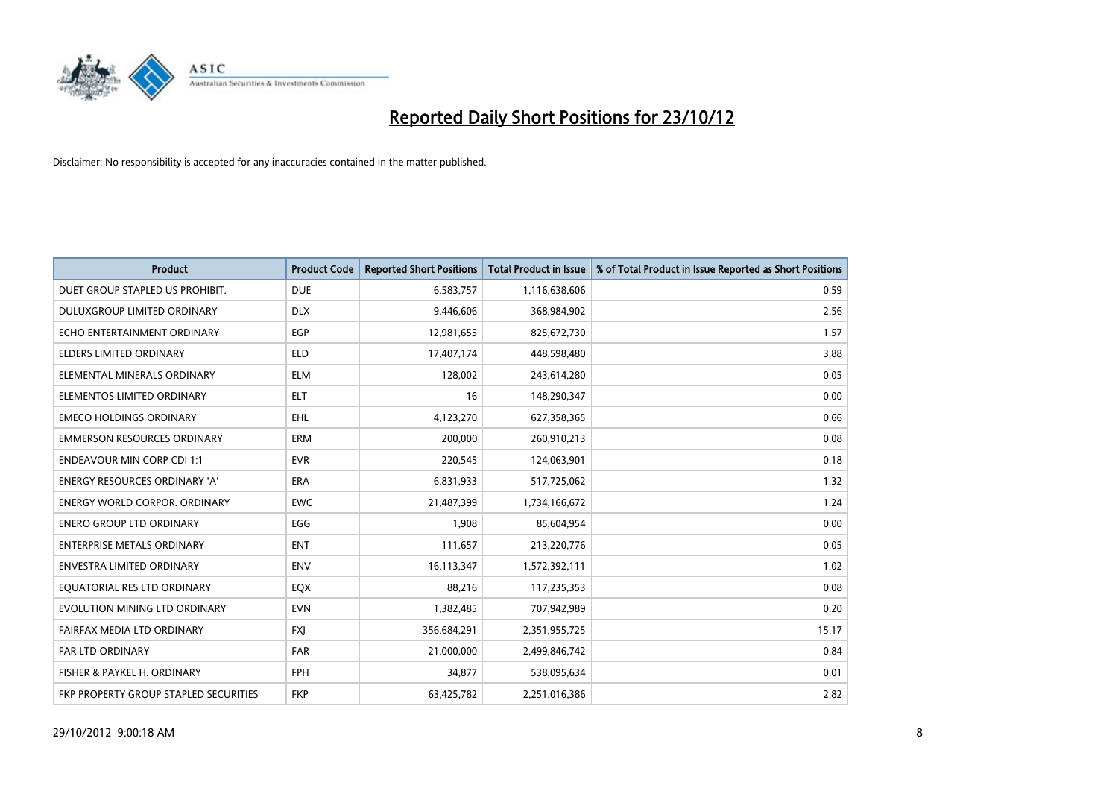

| <b>Product</b>                        | <b>Product Code</b> | <b>Reported Short Positions</b> | <b>Total Product in Issue</b> | % of Total Product in Issue Reported as Short Positions |
|---------------------------------------|---------------------|---------------------------------|-------------------------------|---------------------------------------------------------|
| DUET GROUP STAPLED US PROHIBIT.       | <b>DUE</b>          | 6,583,757                       | 1,116,638,606                 | 0.59                                                    |
| DULUXGROUP LIMITED ORDINARY           | <b>DLX</b>          | 9,446,606                       | 368,984,902                   | 2.56                                                    |
| ECHO ENTERTAINMENT ORDINARY           | EGP                 | 12,981,655                      | 825,672,730                   | 1.57                                                    |
| ELDERS LIMITED ORDINARY               | <b>ELD</b>          | 17,407,174                      | 448,598,480                   | 3.88                                                    |
| ELEMENTAL MINERALS ORDINARY           | <b>ELM</b>          | 128,002                         | 243,614,280                   | 0.05                                                    |
| ELEMENTOS LIMITED ORDINARY            | <b>ELT</b>          | 16                              | 148,290,347                   | 0.00                                                    |
| <b>EMECO HOLDINGS ORDINARY</b>        | <b>EHL</b>          | 4,123,270                       | 627,358,365                   | 0.66                                                    |
| <b>EMMERSON RESOURCES ORDINARY</b>    | ERM                 | 200,000                         | 260,910,213                   | 0.08                                                    |
| <b>ENDEAVOUR MIN CORP CDI 1:1</b>     | <b>EVR</b>          | 220,545                         | 124,063,901                   | 0.18                                                    |
| <b>ENERGY RESOURCES ORDINARY 'A'</b>  | <b>ERA</b>          | 6,831,933                       | 517,725,062                   | 1.32                                                    |
| ENERGY WORLD CORPOR. ORDINARY         | <b>EWC</b>          | 21,487,399                      | 1,734,166,672                 | 1.24                                                    |
| <b>ENERO GROUP LTD ORDINARY</b>       | EGG                 | 1,908                           | 85,604,954                    | 0.00                                                    |
| <b>ENTERPRISE METALS ORDINARY</b>     | <b>ENT</b>          | 111,657                         | 213,220,776                   | 0.05                                                    |
| <b>ENVESTRA LIMITED ORDINARY</b>      | <b>ENV</b>          | 16,113,347                      | 1,572,392,111                 | 1.02                                                    |
| EQUATORIAL RES LTD ORDINARY           | EQX                 | 88,216                          | 117,235,353                   | 0.08                                                    |
| EVOLUTION MINING LTD ORDINARY         | <b>EVN</b>          | 1,382,485                       | 707,942,989                   | 0.20                                                    |
| FAIRFAX MEDIA LTD ORDINARY            | <b>FXI</b>          | 356,684,291                     | 2,351,955,725                 | 15.17                                                   |
| <b>FAR LTD ORDINARY</b>               | <b>FAR</b>          | 21,000,000                      | 2,499,846,742                 | 0.84                                                    |
| FISHER & PAYKEL H. ORDINARY           | <b>FPH</b>          | 34,877                          | 538,095,634                   | 0.01                                                    |
| FKP PROPERTY GROUP STAPLED SECURITIES | <b>FKP</b>          | 63,425,782                      | 2,251,016,386                 | 2.82                                                    |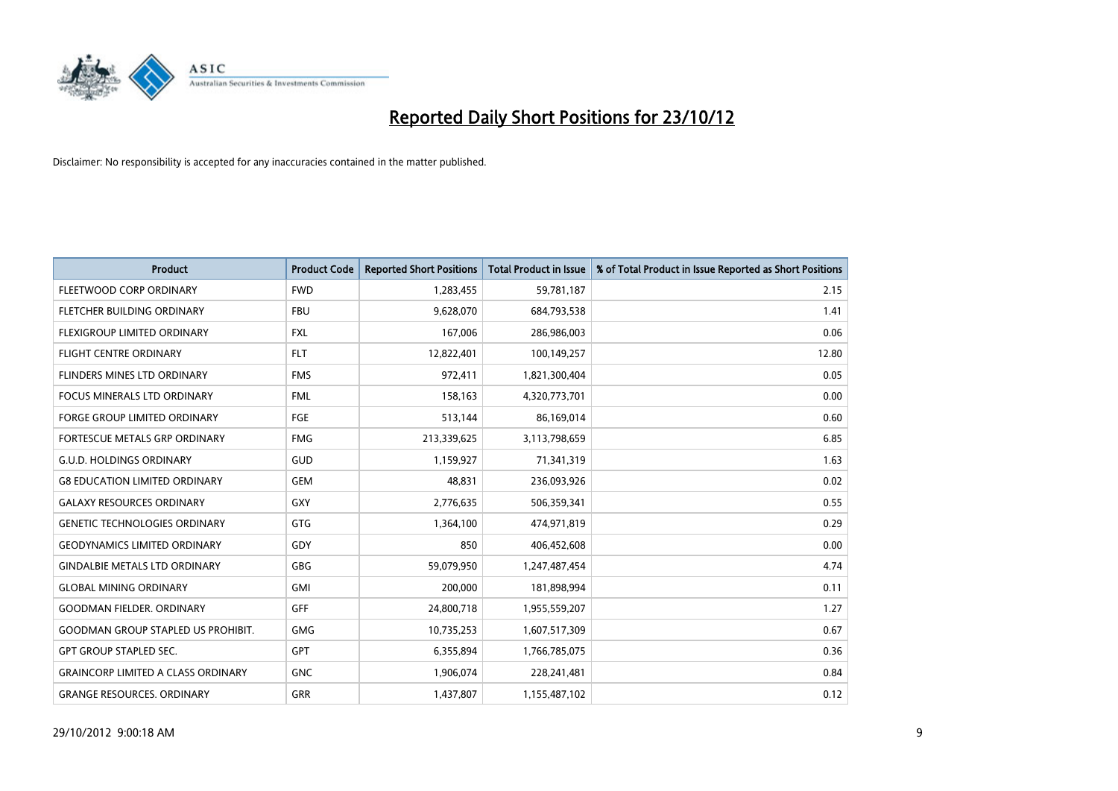

| <b>Product</b>                            | <b>Product Code</b> | <b>Reported Short Positions</b> | <b>Total Product in Issue</b> | % of Total Product in Issue Reported as Short Positions |
|-------------------------------------------|---------------------|---------------------------------|-------------------------------|---------------------------------------------------------|
| FLEETWOOD CORP ORDINARY                   | <b>FWD</b>          | 1,283,455                       | 59,781,187                    | 2.15                                                    |
| FLETCHER BUILDING ORDINARY                | <b>FBU</b>          | 9,628,070                       | 684,793,538                   | 1.41                                                    |
| <b>FLEXIGROUP LIMITED ORDINARY</b>        | <b>FXL</b>          | 167,006                         | 286,986,003                   | 0.06                                                    |
| FLIGHT CENTRE ORDINARY                    | <b>FLT</b>          | 12,822,401                      | 100,149,257                   | 12.80                                                   |
| FLINDERS MINES LTD ORDINARY               | <b>FMS</b>          | 972,411                         | 1,821,300,404                 | 0.05                                                    |
| <b>FOCUS MINERALS LTD ORDINARY</b>        | <b>FML</b>          | 158,163                         | 4,320,773,701                 | 0.00                                                    |
| <b>FORGE GROUP LIMITED ORDINARY</b>       | FGE                 | 513,144                         | 86,169,014                    | 0.60                                                    |
| FORTESCUE METALS GRP ORDINARY             | <b>FMG</b>          | 213,339,625                     | 3,113,798,659                 | 6.85                                                    |
| <b>G.U.D. HOLDINGS ORDINARY</b>           | GUD                 | 1,159,927                       | 71,341,319                    | 1.63                                                    |
| <b>G8 EDUCATION LIMITED ORDINARY</b>      | <b>GEM</b>          | 48.831                          | 236,093,926                   | 0.02                                                    |
| <b>GALAXY RESOURCES ORDINARY</b>          | <b>GXY</b>          | 2,776,635                       | 506,359,341                   | 0.55                                                    |
| <b>GENETIC TECHNOLOGIES ORDINARY</b>      | <b>GTG</b>          | 1,364,100                       | 474,971,819                   | 0.29                                                    |
| <b>GEODYNAMICS LIMITED ORDINARY</b>       | GDY                 | 850                             | 406,452,608                   | 0.00                                                    |
| <b>GINDALBIE METALS LTD ORDINARY</b>      | <b>GBG</b>          | 59,079,950                      | 1,247,487,454                 | 4.74                                                    |
| <b>GLOBAL MINING ORDINARY</b>             | <b>GMI</b>          | 200,000                         | 181,898,994                   | 0.11                                                    |
| <b>GOODMAN FIELDER, ORDINARY</b>          | GFF                 | 24,800,718                      | 1,955,559,207                 | 1.27                                                    |
| <b>GOODMAN GROUP STAPLED US PROHIBIT.</b> | <b>GMG</b>          | 10,735,253                      | 1,607,517,309                 | 0.67                                                    |
| <b>GPT GROUP STAPLED SEC.</b>             | <b>GPT</b>          | 6,355,894                       | 1,766,785,075                 | 0.36                                                    |
| <b>GRAINCORP LIMITED A CLASS ORDINARY</b> | <b>GNC</b>          | 1,906,074                       | 228,241,481                   | 0.84                                                    |
| <b>GRANGE RESOURCES, ORDINARY</b>         | <b>GRR</b>          | 1,437,807                       | 1,155,487,102                 | 0.12                                                    |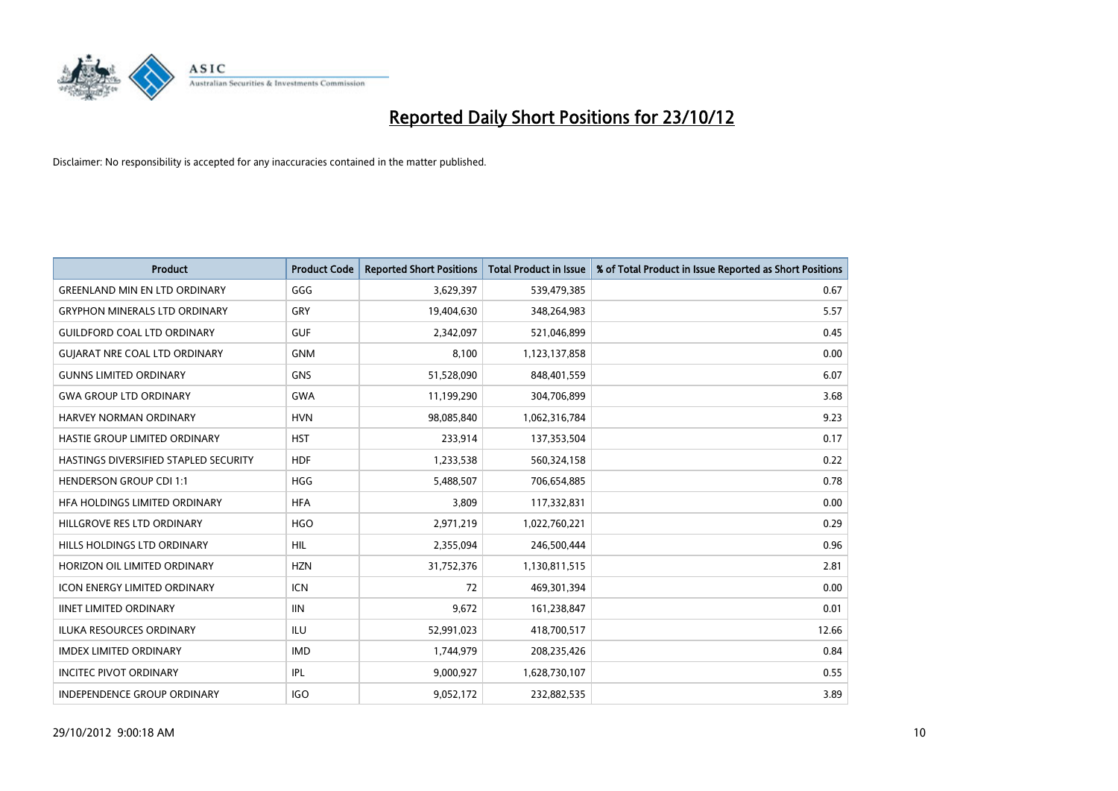

| <b>Product</b>                        | <b>Product Code</b> | <b>Reported Short Positions</b> | <b>Total Product in Issue</b> | % of Total Product in Issue Reported as Short Positions |
|---------------------------------------|---------------------|---------------------------------|-------------------------------|---------------------------------------------------------|
| <b>GREENLAND MIN EN LTD ORDINARY</b>  | GGG                 | 3,629,397                       | 539,479,385                   | 0.67                                                    |
| <b>GRYPHON MINERALS LTD ORDINARY</b>  | GRY                 | 19,404,630                      | 348,264,983                   | 5.57                                                    |
| <b>GUILDFORD COAL LTD ORDINARY</b>    | <b>GUF</b>          | 2,342,097                       | 521,046,899                   | 0.45                                                    |
| <b>GUJARAT NRE COAL LTD ORDINARY</b>  | <b>GNM</b>          | 8,100                           | 1,123,137,858                 | 0.00                                                    |
| <b>GUNNS LIMITED ORDINARY</b>         | <b>GNS</b>          | 51,528,090                      | 848,401,559                   | 6.07                                                    |
| <b>GWA GROUP LTD ORDINARY</b>         | <b>GWA</b>          | 11,199,290                      | 304,706,899                   | 3.68                                                    |
| HARVEY NORMAN ORDINARY                | <b>HVN</b>          | 98,085,840                      | 1,062,316,784                 | 9.23                                                    |
| HASTIE GROUP LIMITED ORDINARY         | <b>HST</b>          | 233,914                         | 137,353,504                   | 0.17                                                    |
| HASTINGS DIVERSIFIED STAPLED SECURITY | <b>HDF</b>          | 1,233,538                       | 560,324,158                   | 0.22                                                    |
| <b>HENDERSON GROUP CDI 1:1</b>        | <b>HGG</b>          | 5,488,507                       | 706,654,885                   | 0.78                                                    |
| HFA HOLDINGS LIMITED ORDINARY         | <b>HFA</b>          | 3,809                           | 117,332,831                   | 0.00                                                    |
| HILLGROVE RES LTD ORDINARY            | <b>HGO</b>          | 2,971,219                       | 1,022,760,221                 | 0.29                                                    |
| HILLS HOLDINGS LTD ORDINARY           | <b>HIL</b>          | 2,355,094                       | 246,500,444                   | 0.96                                                    |
| HORIZON OIL LIMITED ORDINARY          | <b>HZN</b>          | 31,752,376                      | 1,130,811,515                 | 2.81                                                    |
| <b>ICON ENERGY LIMITED ORDINARY</b>   | <b>ICN</b>          | 72                              | 469,301,394                   | 0.00                                                    |
| <b>IINET LIMITED ORDINARY</b>         | <b>IIN</b>          | 9,672                           | 161,238,847                   | 0.01                                                    |
| ILUKA RESOURCES ORDINARY              | ILU                 | 52,991,023                      | 418,700,517                   | 12.66                                                   |
| <b>IMDEX LIMITED ORDINARY</b>         | <b>IMD</b>          | 1,744,979                       | 208,235,426                   | 0.84                                                    |
| <b>INCITEC PIVOT ORDINARY</b>         | <b>IPL</b>          | 9,000,927                       | 1,628,730,107                 | 0.55                                                    |
| INDEPENDENCE GROUP ORDINARY           | <b>IGO</b>          | 9,052,172                       | 232,882,535                   | 3.89                                                    |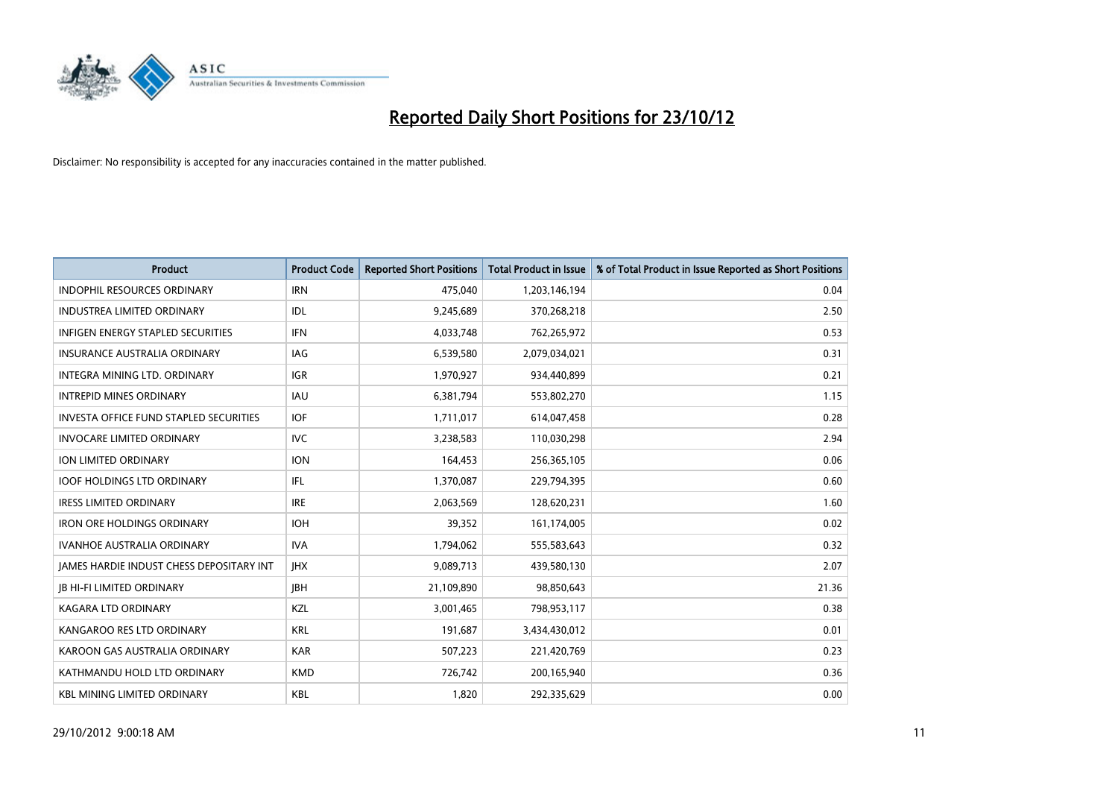

| <b>Product</b>                                  | <b>Product Code</b> | <b>Reported Short Positions</b> | <b>Total Product in Issue</b> | % of Total Product in Issue Reported as Short Positions |
|-------------------------------------------------|---------------------|---------------------------------|-------------------------------|---------------------------------------------------------|
| <b>INDOPHIL RESOURCES ORDINARY</b>              | <b>IRN</b>          | 475,040                         | 1,203,146,194                 | 0.04                                                    |
| <b>INDUSTREA LIMITED ORDINARY</b>               | <b>IDL</b>          | 9,245,689                       | 370,268,218                   | 2.50                                                    |
| <b>INFIGEN ENERGY STAPLED SECURITIES</b>        | <b>IFN</b>          | 4,033,748                       | 762,265,972                   | 0.53                                                    |
| INSURANCE AUSTRALIA ORDINARY                    | IAG                 | 6,539,580                       | 2,079,034,021                 | 0.31                                                    |
| <b>INTEGRA MINING LTD, ORDINARY</b>             | <b>IGR</b>          | 1,970,927                       | 934,440,899                   | 0.21                                                    |
| <b>INTREPID MINES ORDINARY</b>                  | <b>IAU</b>          | 6,381,794                       | 553,802,270                   | 1.15                                                    |
| <b>INVESTA OFFICE FUND STAPLED SECURITIES</b>   | <b>IOF</b>          | 1,711,017                       | 614,047,458                   | 0.28                                                    |
| <b>INVOCARE LIMITED ORDINARY</b>                | <b>IVC</b>          | 3,238,583                       | 110,030,298                   | 2.94                                                    |
| <b>ION LIMITED ORDINARY</b>                     | <b>ION</b>          | 164,453                         | 256,365,105                   | 0.06                                                    |
| <b>IOOF HOLDINGS LTD ORDINARY</b>               | <b>IFL</b>          | 1,370,087                       | 229,794,395                   | 0.60                                                    |
| <b>IRESS LIMITED ORDINARY</b>                   | <b>IRE</b>          | 2,063,569                       | 128,620,231                   | 1.60                                                    |
| <b>IRON ORE HOLDINGS ORDINARY</b>               | <b>IOH</b>          | 39,352                          | 161,174,005                   | 0.02                                                    |
| <b>IVANHOE AUSTRALIA ORDINARY</b>               | <b>IVA</b>          | 1,794,062                       | 555,583,643                   | 0.32                                                    |
| <b>JAMES HARDIE INDUST CHESS DEPOSITARY INT</b> | <b>IHX</b>          | 9,089,713                       | 439,580,130                   | 2.07                                                    |
| <b>JB HI-FI LIMITED ORDINARY</b>                | <b>IBH</b>          | 21,109,890                      | 98,850,643                    | 21.36                                                   |
| KAGARA LTD ORDINARY                             | KZL                 | 3,001,465                       | 798,953,117                   | 0.38                                                    |
| KANGAROO RES LTD ORDINARY                       | <b>KRL</b>          | 191,687                         | 3,434,430,012                 | 0.01                                                    |
| KAROON GAS AUSTRALIA ORDINARY                   | <b>KAR</b>          | 507,223                         | 221,420,769                   | 0.23                                                    |
| KATHMANDU HOLD LTD ORDINARY                     | <b>KMD</b>          | 726,742                         | 200,165,940                   | 0.36                                                    |
| <b>KBL MINING LIMITED ORDINARY</b>              | <b>KBL</b>          | 1,820                           | 292,335,629                   | 0.00                                                    |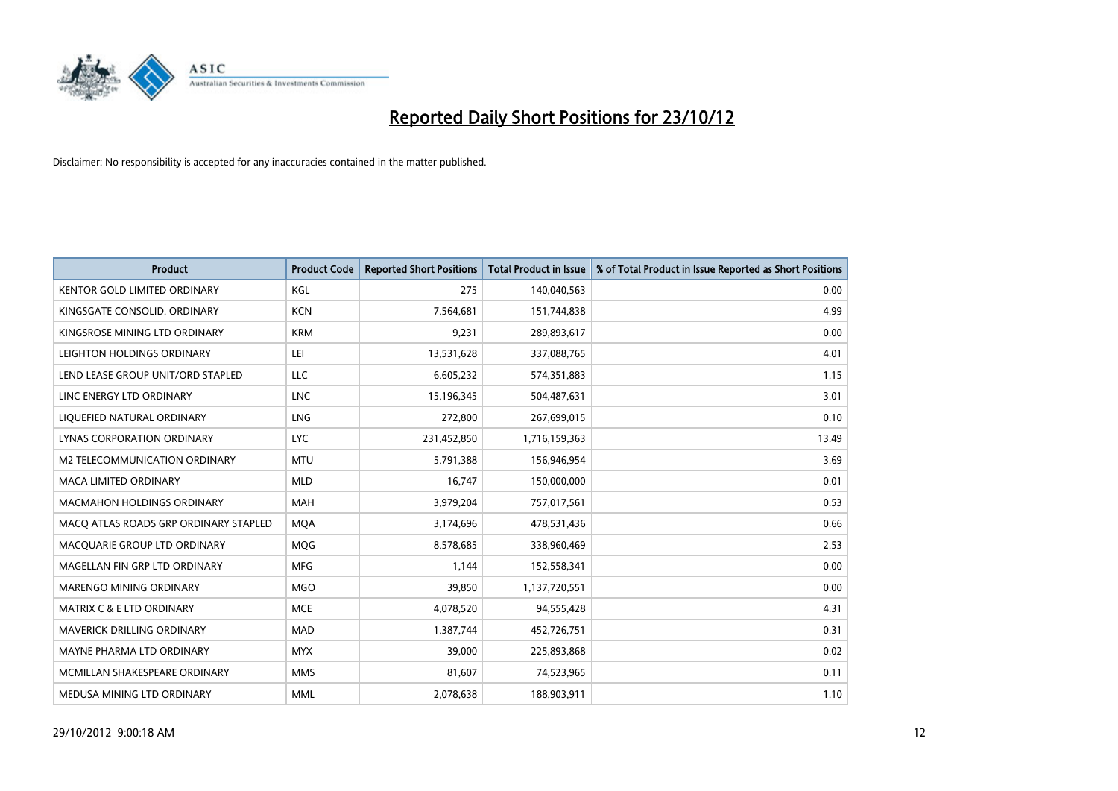

| <b>Product</b>                        | <b>Product Code</b> | <b>Reported Short Positions</b> | <b>Total Product in Issue</b> | % of Total Product in Issue Reported as Short Positions |
|---------------------------------------|---------------------|---------------------------------|-------------------------------|---------------------------------------------------------|
| <b>KENTOR GOLD LIMITED ORDINARY</b>   | KGL                 | 275                             | 140,040,563                   | 0.00                                                    |
| KINGSGATE CONSOLID. ORDINARY          | <b>KCN</b>          | 7,564,681                       | 151,744,838                   | 4.99                                                    |
| KINGSROSE MINING LTD ORDINARY         | <b>KRM</b>          | 9,231                           | 289,893,617                   | 0.00                                                    |
| LEIGHTON HOLDINGS ORDINARY            | LEI                 | 13,531,628                      | 337,088,765                   | 4.01                                                    |
| LEND LEASE GROUP UNIT/ORD STAPLED     | <b>LLC</b>          | 6,605,232                       | 574,351,883                   | 1.15                                                    |
| LINC ENERGY LTD ORDINARY              | <b>LNC</b>          | 15,196,345                      | 504,487,631                   | 3.01                                                    |
| LIQUEFIED NATURAL ORDINARY            | <b>LNG</b>          | 272,800                         | 267,699,015                   | 0.10                                                    |
| LYNAS CORPORATION ORDINARY            | <b>LYC</b>          | 231,452,850                     | 1,716,159,363                 | 13.49                                                   |
| M2 TELECOMMUNICATION ORDINARY         | <b>MTU</b>          | 5,791,388                       | 156,946,954                   | 3.69                                                    |
| <b>MACA LIMITED ORDINARY</b>          | <b>MLD</b>          | 16,747                          | 150,000,000                   | 0.01                                                    |
| <b>MACMAHON HOLDINGS ORDINARY</b>     | <b>MAH</b>          | 3,979,204                       | 757,017,561                   | 0.53                                                    |
| MACQ ATLAS ROADS GRP ORDINARY STAPLED | <b>MQA</b>          | 3,174,696                       | 478,531,436                   | 0.66                                                    |
| MACQUARIE GROUP LTD ORDINARY          | <b>MOG</b>          | 8,578,685                       | 338,960,469                   | 2.53                                                    |
| MAGELLAN FIN GRP LTD ORDINARY         | <b>MFG</b>          | 1,144                           | 152,558,341                   | 0.00                                                    |
| MARENGO MINING ORDINARY               | <b>MGO</b>          | 39,850                          | 1,137,720,551                 | 0.00                                                    |
| <b>MATRIX C &amp; E LTD ORDINARY</b>  | <b>MCE</b>          | 4,078,520                       | 94,555,428                    | 4.31                                                    |
| <b>MAVERICK DRILLING ORDINARY</b>     | <b>MAD</b>          | 1,387,744                       | 452,726,751                   | 0.31                                                    |
| MAYNE PHARMA LTD ORDINARY             | <b>MYX</b>          | 39,000                          | 225,893,868                   | 0.02                                                    |
| MCMILLAN SHAKESPEARE ORDINARY         | <b>MMS</b>          | 81,607                          | 74,523,965                    | 0.11                                                    |
| MEDUSA MINING LTD ORDINARY            | <b>MML</b>          | 2,078,638                       | 188,903,911                   | 1.10                                                    |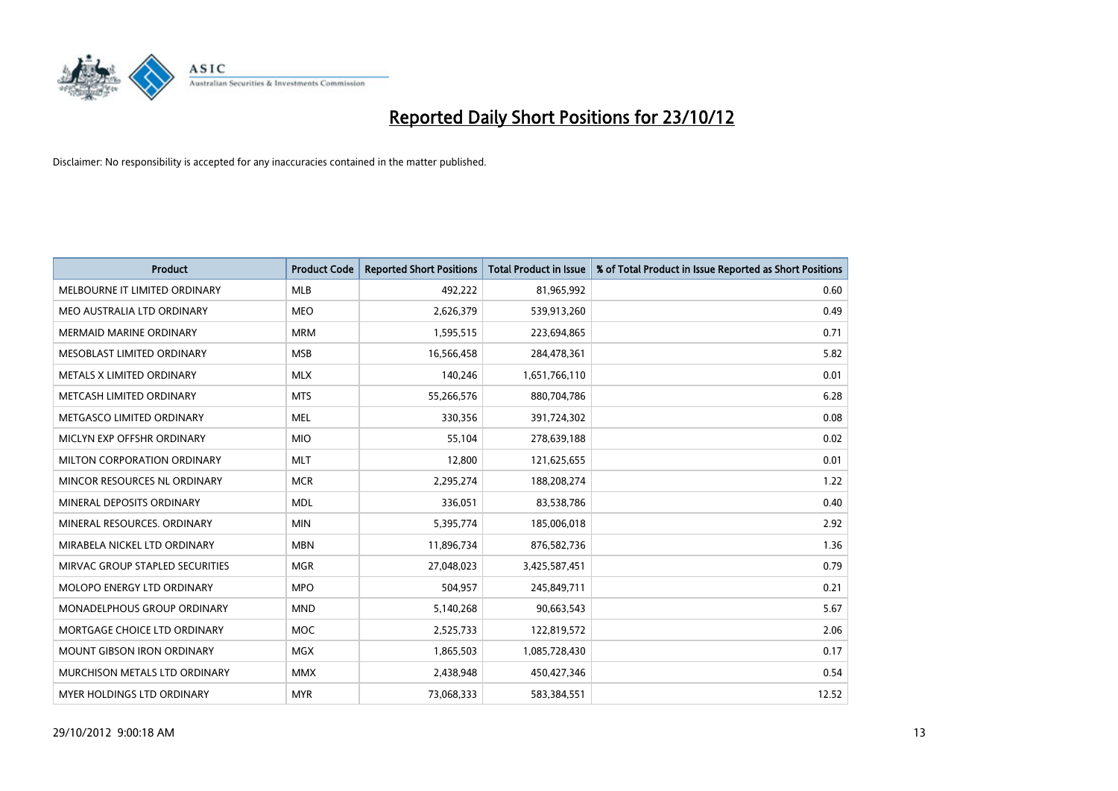

| <b>Product</b>                    | <b>Product Code</b> | <b>Reported Short Positions</b> | <b>Total Product in Issue</b> | % of Total Product in Issue Reported as Short Positions |
|-----------------------------------|---------------------|---------------------------------|-------------------------------|---------------------------------------------------------|
| MELBOURNE IT LIMITED ORDINARY     | <b>MLB</b>          | 492,222                         | 81,965,992                    | 0.60                                                    |
| MEO AUSTRALIA LTD ORDINARY        | <b>MEO</b>          | 2,626,379                       | 539,913,260                   | 0.49                                                    |
| <b>MERMAID MARINE ORDINARY</b>    | <b>MRM</b>          | 1,595,515                       | 223,694,865                   | 0.71                                                    |
| MESOBLAST LIMITED ORDINARY        | <b>MSB</b>          | 16,566,458                      | 284,478,361                   | 5.82                                                    |
| METALS X LIMITED ORDINARY         | <b>MLX</b>          | 140,246                         | 1,651,766,110                 | 0.01                                                    |
| METCASH LIMITED ORDINARY          | <b>MTS</b>          | 55,266,576                      | 880,704,786                   | 6.28                                                    |
| METGASCO LIMITED ORDINARY         | <b>MEL</b>          | 330.356                         | 391,724,302                   | 0.08                                                    |
| MICLYN EXP OFFSHR ORDINARY        | <b>MIO</b>          | 55,104                          | 278,639,188                   | 0.02                                                    |
| MILTON CORPORATION ORDINARY       | <b>MLT</b>          | 12,800                          | 121,625,655                   | 0.01                                                    |
| MINCOR RESOURCES NL ORDINARY      | <b>MCR</b>          | 2,295,274                       | 188,208,274                   | 1.22                                                    |
| MINERAL DEPOSITS ORDINARY         | <b>MDL</b>          | 336,051                         | 83,538,786                    | 0.40                                                    |
| MINERAL RESOURCES, ORDINARY       | <b>MIN</b>          | 5,395,774                       | 185,006,018                   | 2.92                                                    |
| MIRABELA NICKEL LTD ORDINARY      | <b>MBN</b>          | 11,896,734                      | 876,582,736                   | 1.36                                                    |
| MIRVAC GROUP STAPLED SECURITIES   | <b>MGR</b>          | 27,048,023                      | 3,425,587,451                 | 0.79                                                    |
| MOLOPO ENERGY LTD ORDINARY        | <b>MPO</b>          | 504,957                         | 245,849,711                   | 0.21                                                    |
| MONADELPHOUS GROUP ORDINARY       | <b>MND</b>          | 5,140,268                       | 90,663,543                    | 5.67                                                    |
| MORTGAGE CHOICE LTD ORDINARY      | <b>MOC</b>          | 2,525,733                       | 122,819,572                   | 2.06                                                    |
| <b>MOUNT GIBSON IRON ORDINARY</b> | <b>MGX</b>          | 1,865,503                       | 1,085,728,430                 | 0.17                                                    |
| MURCHISON METALS LTD ORDINARY     | <b>MMX</b>          | 2,438,948                       | 450,427,346                   | 0.54                                                    |
| <b>MYER HOLDINGS LTD ORDINARY</b> | <b>MYR</b>          | 73.068.333                      | 583,384,551                   | 12.52                                                   |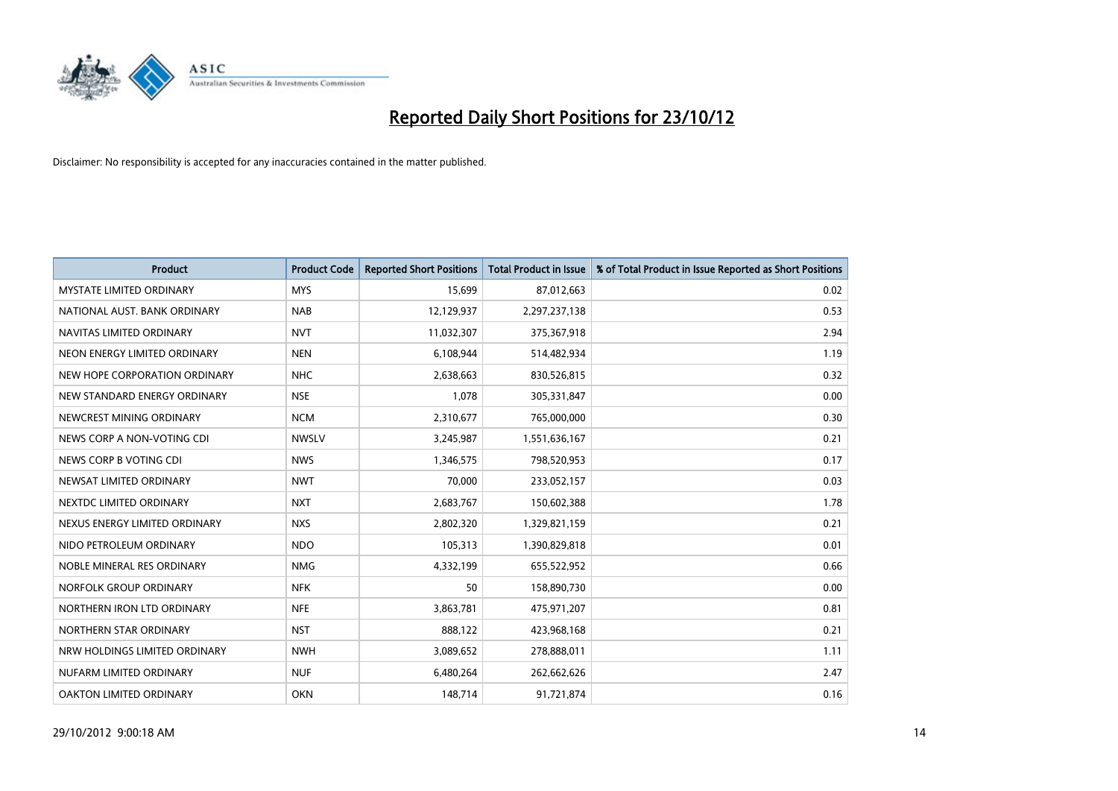

| <b>Product</b>                  | <b>Product Code</b> | <b>Reported Short Positions</b> | <b>Total Product in Issue</b> | % of Total Product in Issue Reported as Short Positions |
|---------------------------------|---------------------|---------------------------------|-------------------------------|---------------------------------------------------------|
| <b>MYSTATE LIMITED ORDINARY</b> | <b>MYS</b>          | 15,699                          | 87,012,663                    | 0.02                                                    |
| NATIONAL AUST. BANK ORDINARY    | <b>NAB</b>          | 12,129,937                      | 2,297,237,138                 | 0.53                                                    |
| NAVITAS LIMITED ORDINARY        | <b>NVT</b>          | 11,032,307                      | 375,367,918                   | 2.94                                                    |
| NEON ENERGY LIMITED ORDINARY    | <b>NEN</b>          | 6,108,944                       | 514,482,934                   | 1.19                                                    |
| NEW HOPE CORPORATION ORDINARY   | <b>NHC</b>          | 2,638,663                       | 830,526,815                   | 0.32                                                    |
| NEW STANDARD ENERGY ORDINARY    | <b>NSE</b>          | 1,078                           | 305,331,847                   | 0.00                                                    |
| NEWCREST MINING ORDINARY        | <b>NCM</b>          | 2,310,677                       | 765,000,000                   | 0.30                                                    |
| NEWS CORP A NON-VOTING CDI      | <b>NWSLV</b>        | 3,245,987                       | 1,551,636,167                 | 0.21                                                    |
| NEWS CORP B VOTING CDI          | <b>NWS</b>          | 1,346,575                       | 798,520,953                   | 0.17                                                    |
| NEWSAT LIMITED ORDINARY         | <b>NWT</b>          | 70,000                          | 233,052,157                   | 0.03                                                    |
| NEXTDC LIMITED ORDINARY         | <b>NXT</b>          | 2,683,767                       | 150,602,388                   | 1.78                                                    |
| NEXUS ENERGY LIMITED ORDINARY   | <b>NXS</b>          | 2,802,320                       | 1,329,821,159                 | 0.21                                                    |
| NIDO PETROLEUM ORDINARY         | <b>NDO</b>          | 105,313                         | 1,390,829,818                 | 0.01                                                    |
| NOBLE MINERAL RES ORDINARY      | <b>NMG</b>          | 4,332,199                       | 655,522,952                   | 0.66                                                    |
| NORFOLK GROUP ORDINARY          | <b>NFK</b>          | 50                              | 158,890,730                   | 0.00                                                    |
| NORTHERN IRON LTD ORDINARY      | <b>NFE</b>          | 3,863,781                       | 475,971,207                   | 0.81                                                    |
| NORTHERN STAR ORDINARY          | <b>NST</b>          | 888,122                         | 423,968,168                   | 0.21                                                    |
| NRW HOLDINGS LIMITED ORDINARY   | <b>NWH</b>          | 3,089,652                       | 278,888,011                   | 1.11                                                    |
| NUFARM LIMITED ORDINARY         | <b>NUF</b>          | 6,480,264                       | 262,662,626                   | 2.47                                                    |
| OAKTON LIMITED ORDINARY         | <b>OKN</b>          | 148,714                         | 91,721,874                    | 0.16                                                    |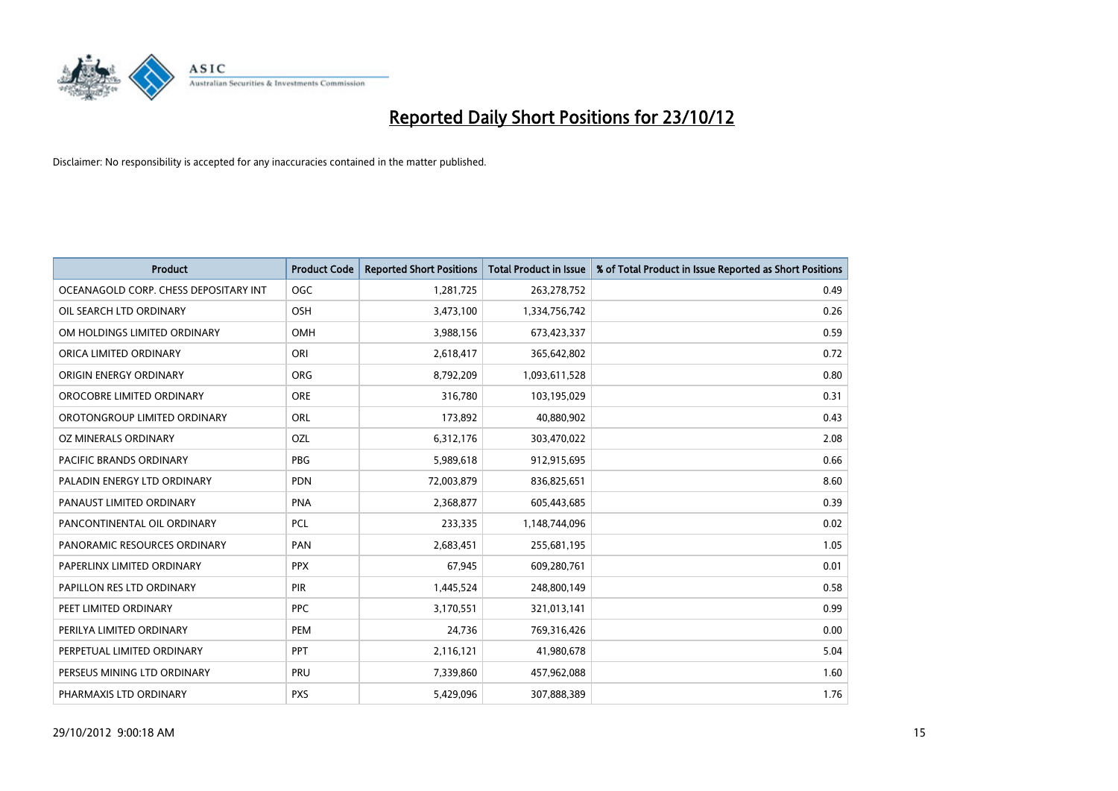

| <b>Product</b>                        | <b>Product Code</b> | <b>Reported Short Positions</b> | <b>Total Product in Issue</b> | % of Total Product in Issue Reported as Short Positions |
|---------------------------------------|---------------------|---------------------------------|-------------------------------|---------------------------------------------------------|
| OCEANAGOLD CORP. CHESS DEPOSITARY INT | <b>OGC</b>          | 1,281,725                       | 263,278,752                   | 0.49                                                    |
| OIL SEARCH LTD ORDINARY               | <b>OSH</b>          | 3,473,100                       | 1,334,756,742                 | 0.26                                                    |
| OM HOLDINGS LIMITED ORDINARY          | OMH                 | 3,988,156                       | 673,423,337                   | 0.59                                                    |
| ORICA LIMITED ORDINARY                | ORI                 | 2,618,417                       | 365,642,802                   | 0.72                                                    |
| ORIGIN ENERGY ORDINARY                | <b>ORG</b>          | 8,792,209                       | 1,093,611,528                 | 0.80                                                    |
| OROCOBRE LIMITED ORDINARY             | <b>ORE</b>          | 316,780                         | 103,195,029                   | 0.31                                                    |
| OROTONGROUP LIMITED ORDINARY          | <b>ORL</b>          | 173,892                         | 40,880,902                    | 0.43                                                    |
| OZ MINERALS ORDINARY                  | OZL                 | 6,312,176                       | 303,470,022                   | 2.08                                                    |
| PACIFIC BRANDS ORDINARY               | <b>PBG</b>          | 5,989,618                       | 912,915,695                   | 0.66                                                    |
| PALADIN ENERGY LTD ORDINARY           | <b>PDN</b>          | 72,003,879                      | 836,825,651                   | 8.60                                                    |
| PANAUST LIMITED ORDINARY              | PNA                 | 2,368,877                       | 605,443,685                   | 0.39                                                    |
| PANCONTINENTAL OIL ORDINARY           | <b>PCL</b>          | 233,335                         | 1,148,744,096                 | 0.02                                                    |
| PANORAMIC RESOURCES ORDINARY          | PAN                 | 2,683,451                       | 255,681,195                   | 1.05                                                    |
| PAPERLINX LIMITED ORDINARY            | <b>PPX</b>          | 67,945                          | 609,280,761                   | 0.01                                                    |
| PAPILLON RES LTD ORDINARY             | <b>PIR</b>          | 1,445,524                       | 248,800,149                   | 0.58                                                    |
| PEET LIMITED ORDINARY                 | <b>PPC</b>          | 3,170,551                       | 321,013,141                   | 0.99                                                    |
| PERILYA LIMITED ORDINARY              | PEM                 | 24,736                          | 769,316,426                   | 0.00                                                    |
| PERPETUAL LIMITED ORDINARY            | <b>PPT</b>          | 2,116,121                       | 41,980,678                    | 5.04                                                    |
| PERSEUS MINING LTD ORDINARY           | PRU                 | 7,339,860                       | 457,962,088                   | 1.60                                                    |
| PHARMAXIS LTD ORDINARY                | <b>PXS</b>          | 5,429,096                       | 307,888,389                   | 1.76                                                    |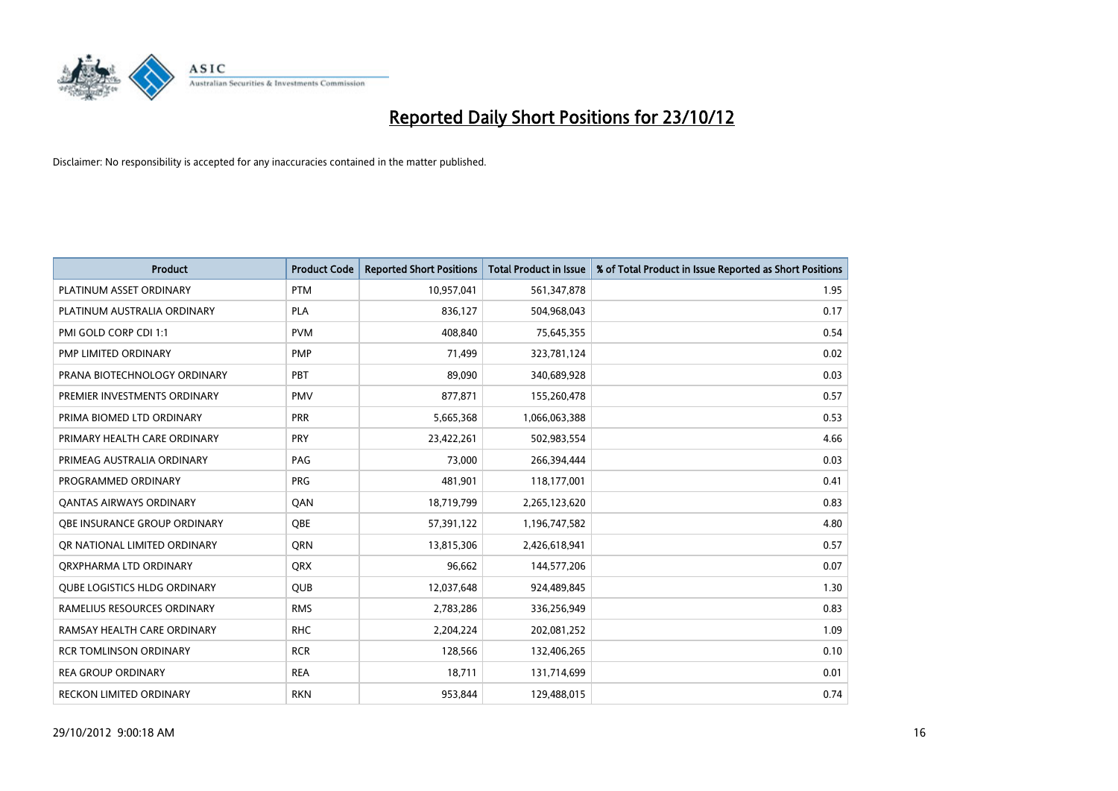

| <b>Product</b>                      | <b>Product Code</b> | <b>Reported Short Positions</b> | <b>Total Product in Issue</b> | % of Total Product in Issue Reported as Short Positions |
|-------------------------------------|---------------------|---------------------------------|-------------------------------|---------------------------------------------------------|
| PLATINUM ASSET ORDINARY             | <b>PTM</b>          | 10,957,041                      | 561,347,878                   | 1.95                                                    |
| PLATINUM AUSTRALIA ORDINARY         | <b>PLA</b>          | 836,127                         | 504,968,043                   | 0.17                                                    |
| PMI GOLD CORP CDI 1:1               | <b>PVM</b>          | 408,840                         | 75,645,355                    | 0.54                                                    |
| PMP LIMITED ORDINARY                | <b>PMP</b>          | 71,499                          | 323,781,124                   | 0.02                                                    |
| PRANA BIOTECHNOLOGY ORDINARY        | PBT                 | 89,090                          | 340,689,928                   | 0.03                                                    |
| PREMIER INVESTMENTS ORDINARY        | <b>PMV</b>          | 877,871                         | 155,260,478                   | 0.57                                                    |
| PRIMA BIOMED LTD ORDINARY           | <b>PRR</b>          | 5,665,368                       | 1,066,063,388                 | 0.53                                                    |
| PRIMARY HEALTH CARE ORDINARY        | <b>PRY</b>          | 23,422,261                      | 502,983,554                   | 4.66                                                    |
| PRIMEAG AUSTRALIA ORDINARY          | PAG                 | 73,000                          | 266,394,444                   | 0.03                                                    |
| PROGRAMMED ORDINARY                 | <b>PRG</b>          | 481,901                         | 118,177,001                   | 0.41                                                    |
| <b>QANTAS AIRWAYS ORDINARY</b>      | QAN                 | 18,719,799                      | 2,265,123,620                 | 0.83                                                    |
| <b>OBE INSURANCE GROUP ORDINARY</b> | <b>OBE</b>          | 57,391,122                      | 1,196,747,582                 | 4.80                                                    |
| OR NATIONAL LIMITED ORDINARY        | <b>ORN</b>          | 13,815,306                      | 2,426,618,941                 | 0.57                                                    |
| ORXPHARMA LTD ORDINARY              | <b>QRX</b>          | 96,662                          | 144,577,206                   | 0.07                                                    |
| <b>QUBE LOGISTICS HLDG ORDINARY</b> | <b>QUB</b>          | 12,037,648                      | 924,489,845                   | 1.30                                                    |
| RAMELIUS RESOURCES ORDINARY         | <b>RMS</b>          | 2,783,286                       | 336,256,949                   | 0.83                                                    |
| RAMSAY HEALTH CARE ORDINARY         | <b>RHC</b>          | 2,204,224                       | 202,081,252                   | 1.09                                                    |
| <b>RCR TOMLINSON ORDINARY</b>       | <b>RCR</b>          | 128,566                         | 132,406,265                   | 0.10                                                    |
| <b>REA GROUP ORDINARY</b>           | <b>REA</b>          | 18,711                          | 131,714,699                   | 0.01                                                    |
| RECKON LIMITED ORDINARY             | <b>RKN</b>          | 953,844                         | 129,488,015                   | 0.74                                                    |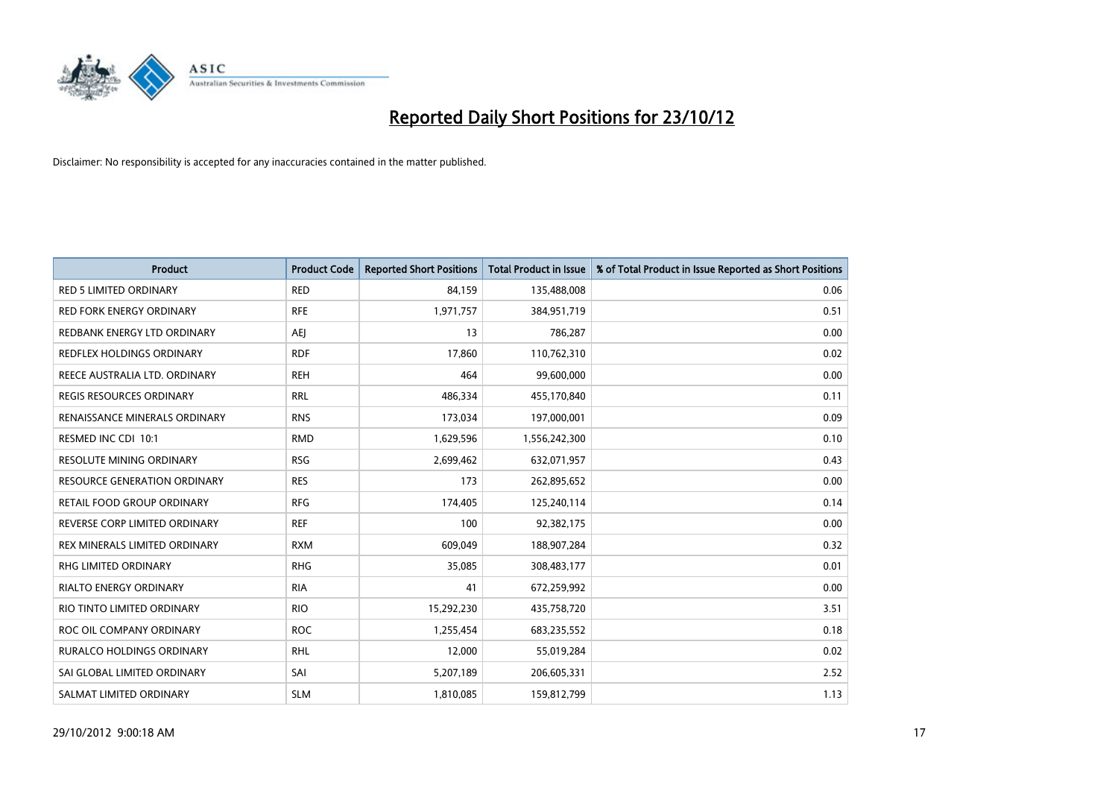

| <b>Product</b>                      | <b>Product Code</b> | <b>Reported Short Positions</b> | <b>Total Product in Issue</b> | % of Total Product in Issue Reported as Short Positions |
|-------------------------------------|---------------------|---------------------------------|-------------------------------|---------------------------------------------------------|
| <b>RED 5 LIMITED ORDINARY</b>       | <b>RED</b>          | 84,159                          | 135,488,008                   | 0.06                                                    |
| <b>RED FORK ENERGY ORDINARY</b>     | <b>RFE</b>          | 1,971,757                       | 384,951,719                   | 0.51                                                    |
| REDBANK ENERGY LTD ORDINARY         | AEJ                 | 13                              | 786,287                       | 0.00                                                    |
| REDFLEX HOLDINGS ORDINARY           | <b>RDF</b>          | 17,860                          | 110,762,310                   | 0.02                                                    |
| REECE AUSTRALIA LTD. ORDINARY       | <b>REH</b>          | 464                             | 99,600,000                    | 0.00                                                    |
| <b>REGIS RESOURCES ORDINARY</b>     | <b>RRL</b>          | 486,334                         | 455,170,840                   | 0.11                                                    |
| RENAISSANCE MINERALS ORDINARY       | <b>RNS</b>          | 173,034                         | 197,000,001                   | 0.09                                                    |
| RESMED INC CDI 10:1                 | <b>RMD</b>          | 1,629,596                       | 1,556,242,300                 | 0.10                                                    |
| <b>RESOLUTE MINING ORDINARY</b>     | <b>RSG</b>          | 2,699,462                       | 632,071,957                   | 0.43                                                    |
| <b>RESOURCE GENERATION ORDINARY</b> | <b>RES</b>          | 173                             | 262,895,652                   | 0.00                                                    |
| RETAIL FOOD GROUP ORDINARY          | <b>RFG</b>          | 174,405                         | 125,240,114                   | 0.14                                                    |
| REVERSE CORP LIMITED ORDINARY       | <b>REF</b>          | 100                             | 92,382,175                    | 0.00                                                    |
| REX MINERALS LIMITED ORDINARY       | <b>RXM</b>          | 609,049                         | 188,907,284                   | 0.32                                                    |
| <b>RHG LIMITED ORDINARY</b>         | <b>RHG</b>          | 35,085                          | 308,483,177                   | 0.01                                                    |
| <b>RIALTO ENERGY ORDINARY</b>       | <b>RIA</b>          | 41                              | 672,259,992                   | 0.00                                                    |
| RIO TINTO LIMITED ORDINARY          | <b>RIO</b>          | 15,292,230                      | 435,758,720                   | 3.51                                                    |
| ROC OIL COMPANY ORDINARY            | <b>ROC</b>          | 1,255,454                       | 683,235,552                   | 0.18                                                    |
| RURALCO HOLDINGS ORDINARY           | <b>RHL</b>          | 12,000                          | 55,019,284                    | 0.02                                                    |
| SAI GLOBAL LIMITED ORDINARY         | SAI                 | 5,207,189                       | 206,605,331                   | 2.52                                                    |
| SALMAT LIMITED ORDINARY             | <b>SLM</b>          | 1,810,085                       | 159,812,799                   | 1.13                                                    |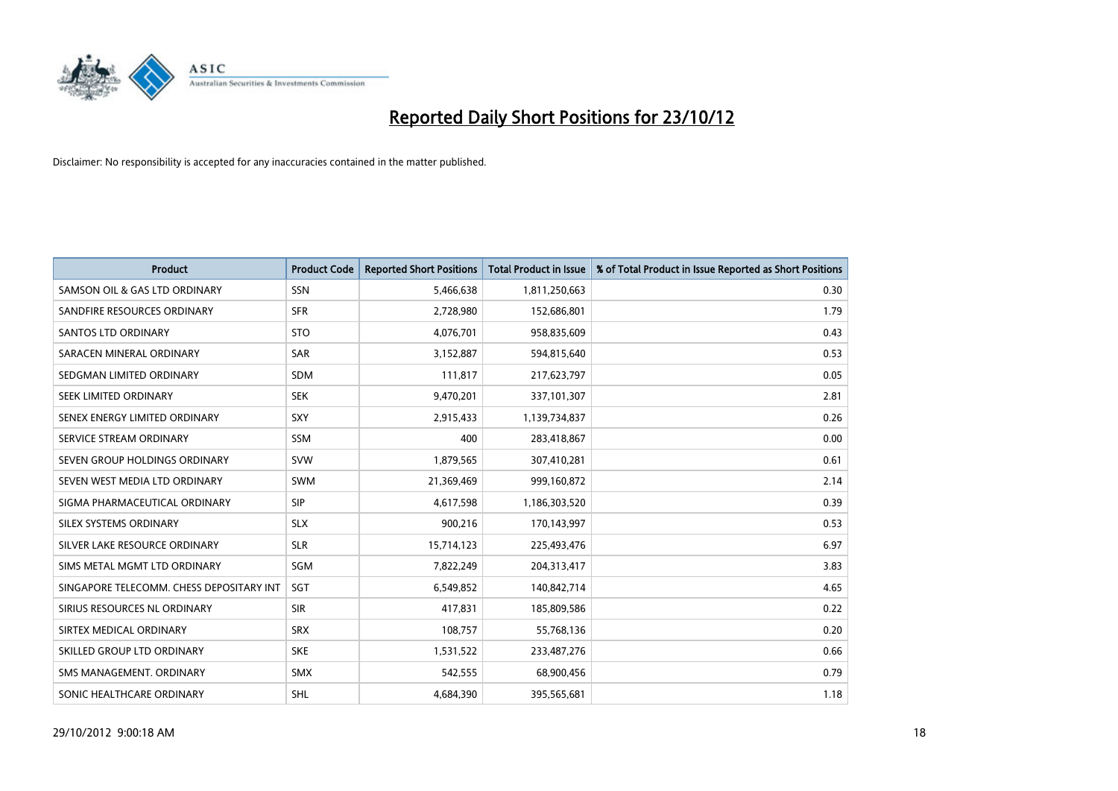

| <b>Product</b>                           | <b>Product Code</b> | <b>Reported Short Positions</b> | <b>Total Product in Issue</b> | % of Total Product in Issue Reported as Short Positions |
|------------------------------------------|---------------------|---------------------------------|-------------------------------|---------------------------------------------------------|
| SAMSON OIL & GAS LTD ORDINARY            | <b>SSN</b>          | 5,466,638                       | 1,811,250,663                 | 0.30                                                    |
| SANDFIRE RESOURCES ORDINARY              | <b>SFR</b>          | 2,728,980                       | 152,686,801                   | 1.79                                                    |
| <b>SANTOS LTD ORDINARY</b>               | <b>STO</b>          | 4,076,701                       | 958,835,609                   | 0.43                                                    |
| SARACEN MINERAL ORDINARY                 | SAR                 | 3,152,887                       | 594,815,640                   | 0.53                                                    |
| SEDGMAN LIMITED ORDINARY                 | <b>SDM</b>          | 111,817                         | 217,623,797                   | 0.05                                                    |
| SEEK LIMITED ORDINARY                    | <b>SEK</b>          | 9,470,201                       | 337,101,307                   | 2.81                                                    |
| SENEX ENERGY LIMITED ORDINARY            | SXY                 | 2,915,433                       | 1,139,734,837                 | 0.26                                                    |
| SERVICE STREAM ORDINARY                  | <b>SSM</b>          | 400                             | 283,418,867                   | 0.00                                                    |
| SEVEN GROUP HOLDINGS ORDINARY            | <b>SVW</b>          | 1,879,565                       | 307,410,281                   | 0.61                                                    |
| SEVEN WEST MEDIA LTD ORDINARY            | <b>SWM</b>          | 21,369,469                      | 999,160,872                   | 2.14                                                    |
| SIGMA PHARMACEUTICAL ORDINARY            | <b>SIP</b>          | 4,617,598                       | 1,186,303,520                 | 0.39                                                    |
| SILEX SYSTEMS ORDINARY                   | <b>SLX</b>          | 900,216                         | 170,143,997                   | 0.53                                                    |
| SILVER LAKE RESOURCE ORDINARY            | <b>SLR</b>          | 15,714,123                      | 225,493,476                   | 6.97                                                    |
| SIMS METAL MGMT LTD ORDINARY             | <b>SGM</b>          | 7,822,249                       | 204,313,417                   | 3.83                                                    |
| SINGAPORE TELECOMM. CHESS DEPOSITARY INT | SGT                 | 6,549,852                       | 140,842,714                   | 4.65                                                    |
| SIRIUS RESOURCES NL ORDINARY             | <b>SIR</b>          | 417,831                         | 185,809,586                   | 0.22                                                    |
| SIRTEX MEDICAL ORDINARY                  | <b>SRX</b>          | 108,757                         | 55,768,136                    | 0.20                                                    |
| SKILLED GROUP LTD ORDINARY               | <b>SKE</b>          | 1,531,522                       | 233,487,276                   | 0.66                                                    |
| SMS MANAGEMENT, ORDINARY                 | <b>SMX</b>          | 542,555                         | 68,900,456                    | 0.79                                                    |
| SONIC HEALTHCARE ORDINARY                | <b>SHL</b>          | 4.684.390                       | 395,565,681                   | 1.18                                                    |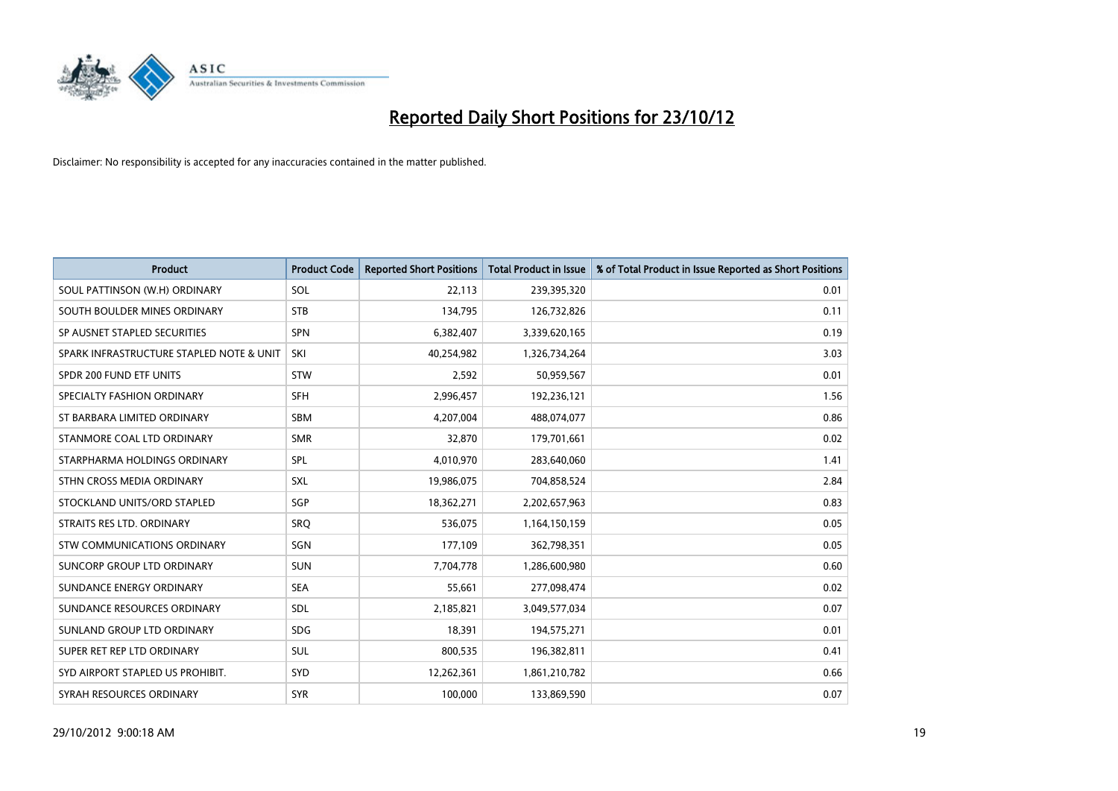

| <b>Product</b>                           | <b>Product Code</b> | <b>Reported Short Positions</b> | <b>Total Product in Issue</b> | % of Total Product in Issue Reported as Short Positions |
|------------------------------------------|---------------------|---------------------------------|-------------------------------|---------------------------------------------------------|
| SOUL PATTINSON (W.H) ORDINARY            | SOL                 | 22,113                          | 239,395,320                   | 0.01                                                    |
| SOUTH BOULDER MINES ORDINARY             | <b>STB</b>          | 134,795                         | 126,732,826                   | 0.11                                                    |
| SP AUSNET STAPLED SECURITIES             | <b>SPN</b>          | 6,382,407                       | 3,339,620,165                 | 0.19                                                    |
| SPARK INFRASTRUCTURE STAPLED NOTE & UNIT | SKI                 | 40,254,982                      | 1,326,734,264                 | 3.03                                                    |
| SPDR 200 FUND ETF UNITS                  | <b>STW</b>          | 2,592                           | 50,959,567                    | 0.01                                                    |
| SPECIALTY FASHION ORDINARY               | <b>SFH</b>          | 2,996,457                       | 192,236,121                   | 1.56                                                    |
| ST BARBARA LIMITED ORDINARY              | <b>SBM</b>          | 4,207,004                       | 488,074,077                   | 0.86                                                    |
| STANMORE COAL LTD ORDINARY               | <b>SMR</b>          | 32,870                          | 179,701,661                   | 0.02                                                    |
| STARPHARMA HOLDINGS ORDINARY             | SPL                 | 4,010,970                       | 283,640,060                   | 1.41                                                    |
| STHN CROSS MEDIA ORDINARY                | <b>SXL</b>          | 19,986,075                      | 704,858,524                   | 2.84                                                    |
| STOCKLAND UNITS/ORD STAPLED              | SGP                 | 18,362,271                      | 2,202,657,963                 | 0.83                                                    |
| STRAITS RES LTD. ORDINARY                | SRQ                 | 536,075                         | 1,164,150,159                 | 0.05                                                    |
| STW COMMUNICATIONS ORDINARY              | SGN                 | 177,109                         | 362,798,351                   | 0.05                                                    |
| SUNCORP GROUP LTD ORDINARY               | <b>SUN</b>          | 7,704,778                       | 1,286,600,980                 | 0.60                                                    |
| SUNDANCE ENERGY ORDINARY                 | <b>SEA</b>          | 55,661                          | 277,098,474                   | 0.02                                                    |
| SUNDANCE RESOURCES ORDINARY              | <b>SDL</b>          | 2,185,821                       | 3,049,577,034                 | 0.07                                                    |
| SUNLAND GROUP LTD ORDINARY               | <b>SDG</b>          | 18,391                          | 194,575,271                   | 0.01                                                    |
| SUPER RET REP LTD ORDINARY               | <b>SUL</b>          | 800,535                         | 196,382,811                   | 0.41                                                    |
| SYD AIRPORT STAPLED US PROHIBIT.         | <b>SYD</b>          | 12,262,361                      | 1,861,210,782                 | 0.66                                                    |
| SYRAH RESOURCES ORDINARY                 | <b>SYR</b>          | 100,000                         | 133,869,590                   | 0.07                                                    |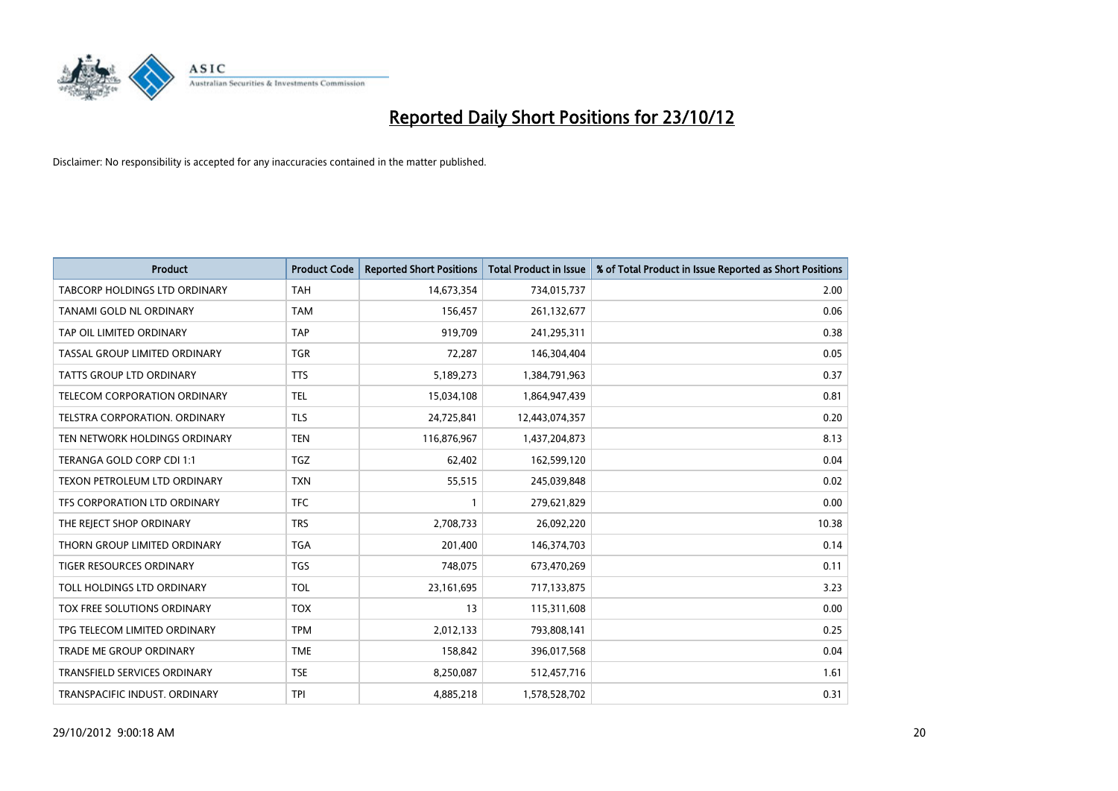

| <b>Product</b>                       | <b>Product Code</b> | <b>Reported Short Positions</b> | <b>Total Product in Issue</b> | % of Total Product in Issue Reported as Short Positions |
|--------------------------------------|---------------------|---------------------------------|-------------------------------|---------------------------------------------------------|
| <b>TABCORP HOLDINGS LTD ORDINARY</b> | <b>TAH</b>          | 14,673,354                      | 734,015,737                   | 2.00                                                    |
| TANAMI GOLD NL ORDINARY              | <b>TAM</b>          | 156,457                         | 261,132,677                   | 0.06                                                    |
| TAP OIL LIMITED ORDINARY             | <b>TAP</b>          | 919,709                         | 241,295,311                   | 0.38                                                    |
| TASSAL GROUP LIMITED ORDINARY        | <b>TGR</b>          | 72,287                          | 146,304,404                   | 0.05                                                    |
| <b>TATTS GROUP LTD ORDINARY</b>      | <b>TTS</b>          | 5,189,273                       | 1,384,791,963                 | 0.37                                                    |
| <b>TELECOM CORPORATION ORDINARY</b>  | <b>TEL</b>          | 15,034,108                      | 1,864,947,439                 | 0.81                                                    |
| TELSTRA CORPORATION, ORDINARY        | <b>TLS</b>          | 24,725,841                      | 12,443,074,357                | 0.20                                                    |
| TEN NETWORK HOLDINGS ORDINARY        | <b>TEN</b>          | 116,876,967                     | 1,437,204,873                 | 8.13                                                    |
| TERANGA GOLD CORP CDI 1:1            | <b>TGZ</b>          | 62,402                          | 162,599,120                   | 0.04                                                    |
| TEXON PETROLEUM LTD ORDINARY         | <b>TXN</b>          | 55,515                          | 245,039,848                   | 0.02                                                    |
| TFS CORPORATION LTD ORDINARY         | <b>TFC</b>          |                                 | 279,621,829                   | 0.00                                                    |
| THE REJECT SHOP ORDINARY             | <b>TRS</b>          | 2,708,733                       | 26,092,220                    | 10.38                                                   |
| THORN GROUP LIMITED ORDINARY         | <b>TGA</b>          | 201,400                         | 146,374,703                   | 0.14                                                    |
| TIGER RESOURCES ORDINARY             | <b>TGS</b>          | 748,075                         | 673,470,269                   | 0.11                                                    |
| TOLL HOLDINGS LTD ORDINARY           | <b>TOL</b>          | 23,161,695                      | 717,133,875                   | 3.23                                                    |
| TOX FREE SOLUTIONS ORDINARY          | <b>TOX</b>          | 13                              | 115,311,608                   | 0.00                                                    |
| TPG TELECOM LIMITED ORDINARY         | <b>TPM</b>          | 2,012,133                       | 793,808,141                   | 0.25                                                    |
| TRADE ME GROUP ORDINARY              | <b>TME</b>          | 158,842                         | 396,017,568                   | 0.04                                                    |
| TRANSFIELD SERVICES ORDINARY         | <b>TSE</b>          | 8,250,087                       | 512,457,716                   | 1.61                                                    |
| TRANSPACIFIC INDUST. ORDINARY        | <b>TPI</b>          | 4,885,218                       | 1,578,528,702                 | 0.31                                                    |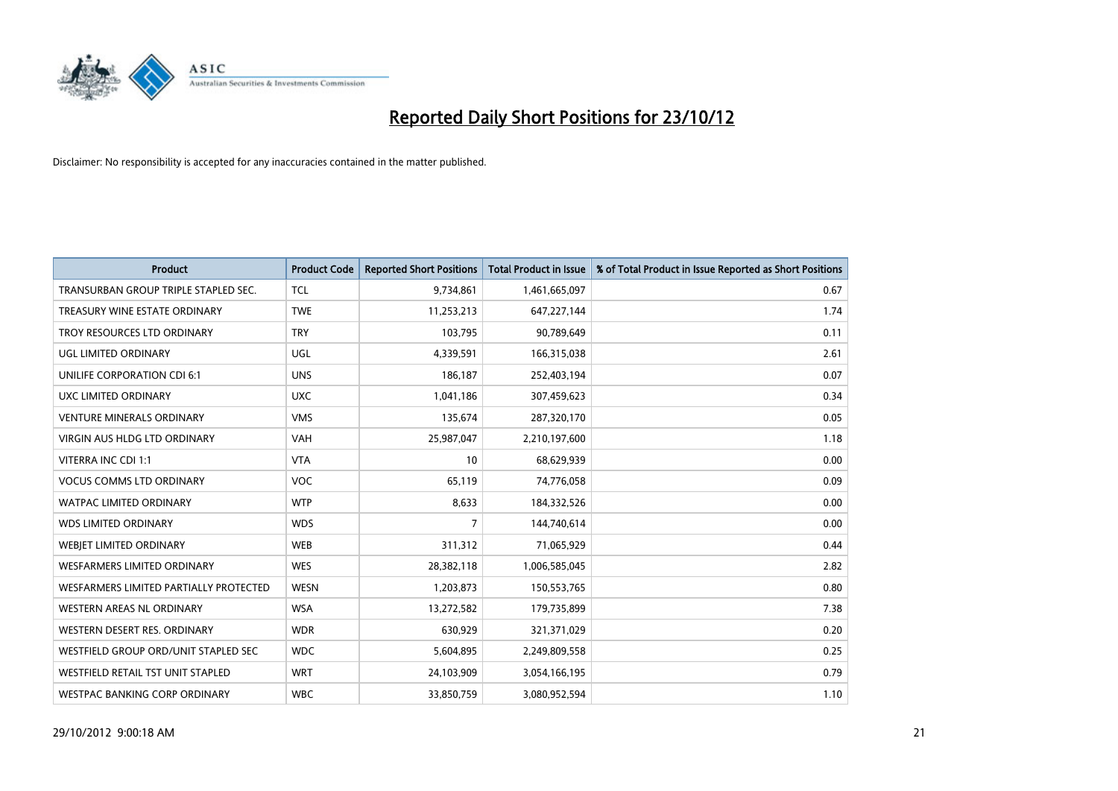

| <b>Product</b>                           | <b>Product Code</b> | <b>Reported Short Positions</b> | <b>Total Product in Issue</b> | % of Total Product in Issue Reported as Short Positions |
|------------------------------------------|---------------------|---------------------------------|-------------------------------|---------------------------------------------------------|
| TRANSURBAN GROUP TRIPLE STAPLED SEC.     | <b>TCL</b>          | 9,734,861                       | 1,461,665,097                 | 0.67                                                    |
| TREASURY WINE ESTATE ORDINARY            | <b>TWE</b>          | 11,253,213                      | 647,227,144                   | 1.74                                                    |
| TROY RESOURCES LTD ORDINARY              | <b>TRY</b>          | 103,795                         | 90,789,649                    | 0.11                                                    |
| UGL LIMITED ORDINARY                     | UGL                 | 4,339,591                       | 166,315,038                   | 2.61                                                    |
| UNILIFE CORPORATION CDI 6:1              | <b>UNS</b>          | 186,187                         | 252,403,194                   | 0.07                                                    |
| UXC LIMITED ORDINARY                     | <b>UXC</b>          | 1,041,186                       | 307,459,623                   | 0.34                                                    |
| <b>VENTURE MINERALS ORDINARY</b>         | <b>VMS</b>          | 135.674                         | 287,320,170                   | 0.05                                                    |
| <b>VIRGIN AUS HLDG LTD ORDINARY</b>      | <b>VAH</b>          | 25,987,047                      | 2,210,197,600                 | 1.18                                                    |
| VITERRA INC CDI 1:1                      | <b>VTA</b>          | 10                              | 68,629,939                    | 0.00                                                    |
| <b>VOCUS COMMS LTD ORDINARY</b>          | <b>VOC</b>          | 65,119                          | 74,776,058                    | 0.09                                                    |
| <b>WATPAC LIMITED ORDINARY</b>           | <b>WTP</b>          | 8,633                           | 184,332,526                   | 0.00                                                    |
| <b>WDS LIMITED ORDINARY</b>              | <b>WDS</b>          | 7                               | 144,740,614                   | 0.00                                                    |
| WEBIET LIMITED ORDINARY                  | <b>WEB</b>          | 311,312                         | 71,065,929                    | 0.44                                                    |
| <b>WESFARMERS LIMITED ORDINARY</b>       | <b>WES</b>          | 28,382,118                      | 1,006,585,045                 | 2.82                                                    |
| WESFARMERS LIMITED PARTIALLY PROTECTED   | <b>WESN</b>         | 1,203,873                       | 150,553,765                   | 0.80                                                    |
| <b>WESTERN AREAS NL ORDINARY</b>         | <b>WSA</b>          | 13,272,582                      | 179,735,899                   | 7.38                                                    |
| WESTERN DESERT RES. ORDINARY             | <b>WDR</b>          | 630,929                         | 321,371,029                   | 0.20                                                    |
| WESTFIELD GROUP ORD/UNIT STAPLED SEC     | <b>WDC</b>          | 5,604,895                       | 2,249,809,558                 | 0.25                                                    |
| <b>WESTFIELD RETAIL TST UNIT STAPLED</b> | <b>WRT</b>          | 24,103,909                      | 3,054,166,195                 | 0.79                                                    |
| WESTPAC BANKING CORP ORDINARY            | <b>WBC</b>          | 33,850,759                      | 3.080.952.594                 | 1.10                                                    |